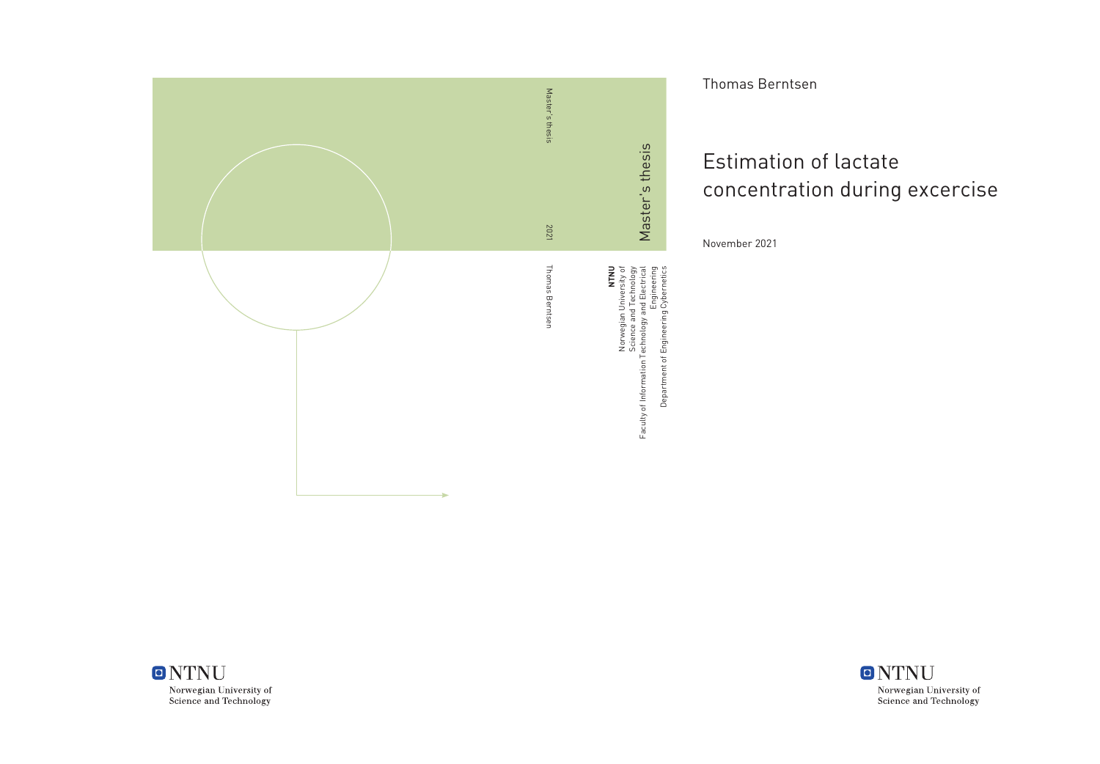

Thomas Berntsen

## Estimation of lactate concentration during excercise

November 2021



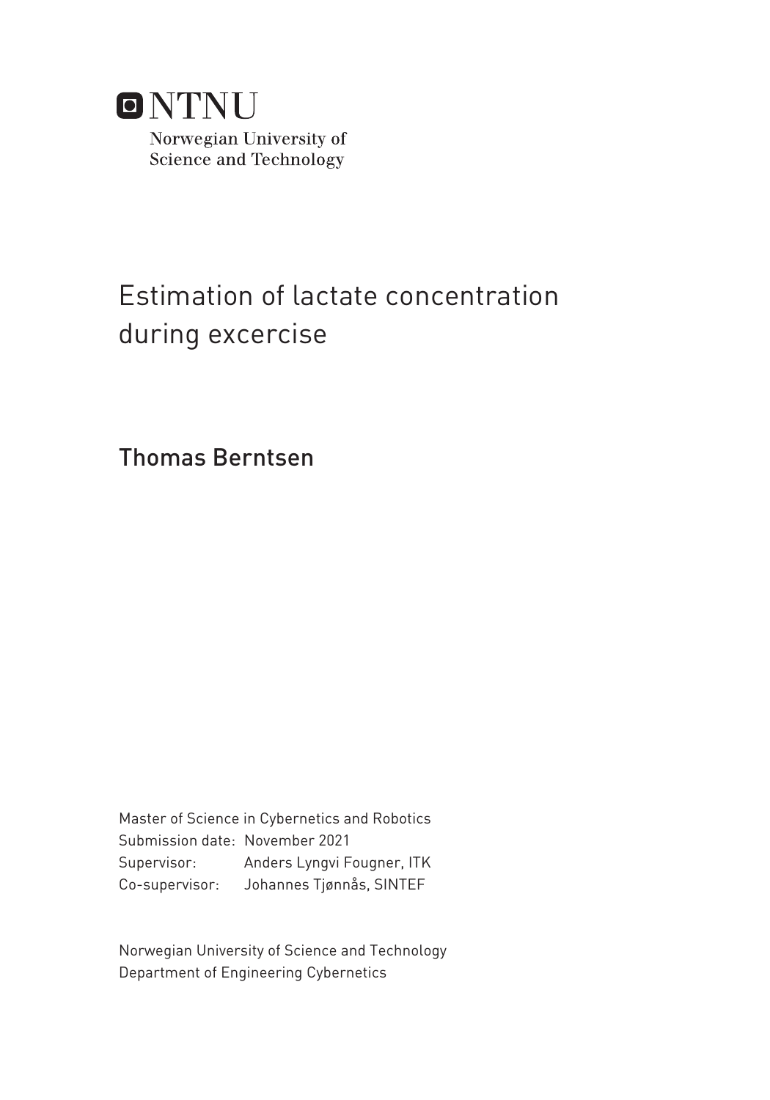

## Estimation of lactate concentration during excercise

Thomas Berntsen

Master of Science in Cybernetics and Robotics Submission date: November 2021 Supervisor: Anders Lyngvi Fougner, ITK Co-supervisor: Johannes Tjønnås, SINTEF

Norwegian University of Science and Technology Department of Engineering Cybernetics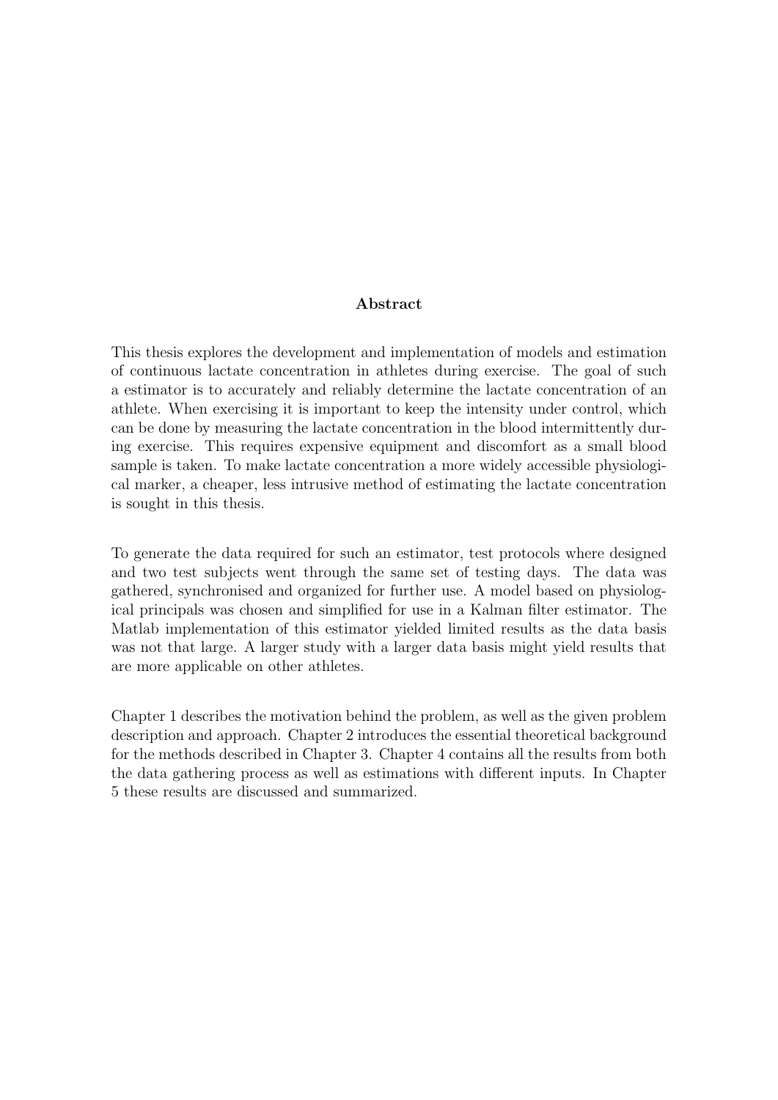#### Abstract

This thesis explores the development and implementation of models and estimation of continuous lactate concentration in athletes during exercise. The goal of such a estimator is to accurately and reliably determine the lactate concentration of an athlete. When exercising it is important to keep the intensity under control, which can be done by measuring the lactate concentration in the blood intermittently during exercise. This requires expensive equipment and discomfort as a small blood sample is taken. To make lactate concentration a more widely accessible physiological marker, a cheaper, less intrusive method of estimating the lactate concentration is sought in this thesis.

To generate the data required for such an estimator, test protocols where designed and two test subjects went through the same set of testing days. The data was gathered, synchronised and organized for further use. A model based on physiological principals was chosen and simplified for use in a Kalman filter estimator. The Matlab implementation of this estimator yielded limited results as the data basis was not that large. A larger study with a larger data basis might yield results that are more applicable on other athletes.

Chapter 1 describes the motivation behind the problem, as well as the given problem description and approach. Chapter 2 introduces the essential theoretical background for the methods described in Chapter 3. Chapter 4 contains all the results from both the data gathering process as well as estimations with different inputs. In Chapter 5 these results are discussed and summarized.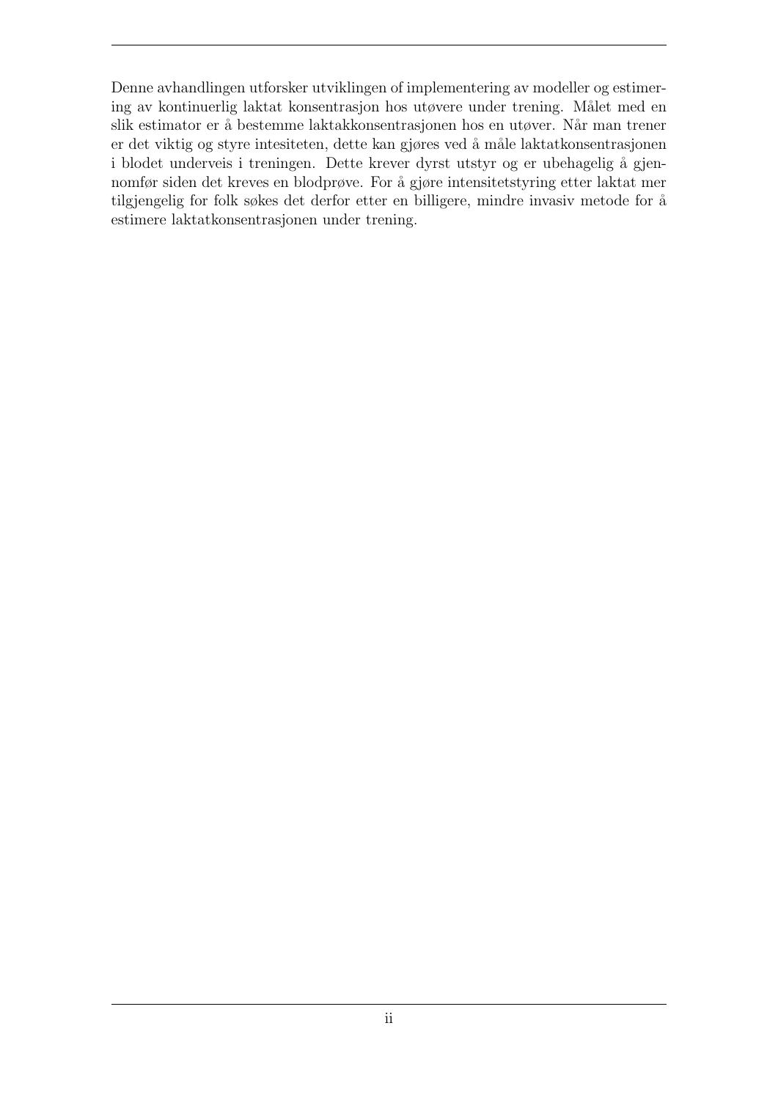Denne avhandlingen utforsker utviklingen of implementering av modeller og estimering av kontinuerlig laktat konsentrasjon hos utøvere under trening. Målet med en slik estimator er å bestemme laktakkonsentrasjonen hos en utøver. Når man trener er det viktig og styre intesiteten, dette kan gjøres ved å måle laktatkonsentrasjonen i blodet underveis i treningen. Dette krever dyrst utstyr og er ubehagelig å gjennomfør siden det kreves en blodprøve. For å gjøre intensitetstyring etter laktat mer tilgjengelig for folk søkes det derfor etter en billigere, mindre invasiv metode for å estimere laktatkonsentrasjonen under trening.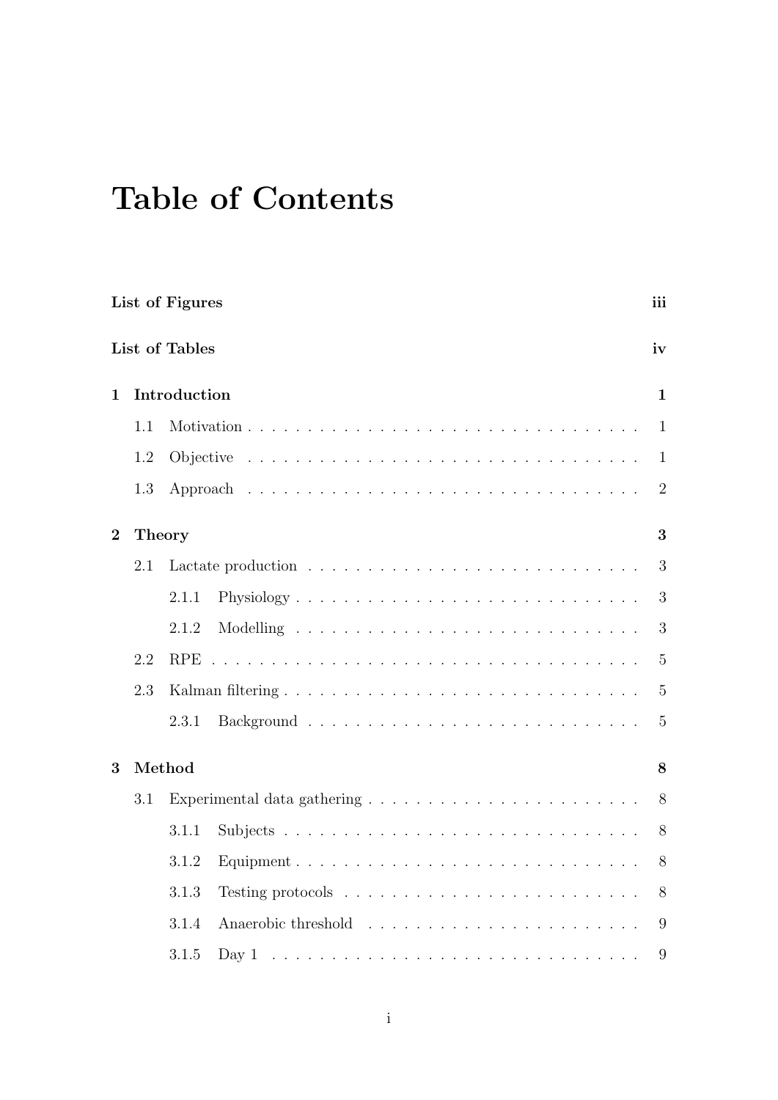## Table of Contents

|                |        | List of Figures                                                                      | iii            |
|----------------|--------|--------------------------------------------------------------------------------------|----------------|
|                |        | List of Tables                                                                       | iv             |
| $\mathbf{1}$   |        | Introduction                                                                         | $\mathbf{1}$   |
|                | 1.1    |                                                                                      | $\mathbf{1}$   |
|                | 1.2    |                                                                                      | $\mathbf{1}$   |
|                | 1.3    |                                                                                      | $\overline{2}$ |
| $\overline{2}$ | Theory |                                                                                      | 3              |
|                | 2.1    |                                                                                      | 3              |
|                |        | 2.1.1                                                                                | 3              |
|                |        | 2.1.2                                                                                | 3              |
|                | 2.2    | <b>RPE</b>                                                                           | $5\,$          |
|                | 2.3    |                                                                                      | $\overline{5}$ |
|                |        | 2.3.1                                                                                | $\overline{5}$ |
| 3              |        | Method                                                                               | 8              |
|                | 3.1    |                                                                                      | 8              |
|                |        | 3.1.1                                                                                | 8              |
|                |        | 3.1.2                                                                                | 8              |
|                |        | 3.1.3<br>Testing protocols $\ldots \ldots \ldots \ldots \ldots \ldots \ldots \ldots$ | 8              |
|                |        | 3.1.4                                                                                | 9              |
|                |        | 3.1.5                                                                                | 9              |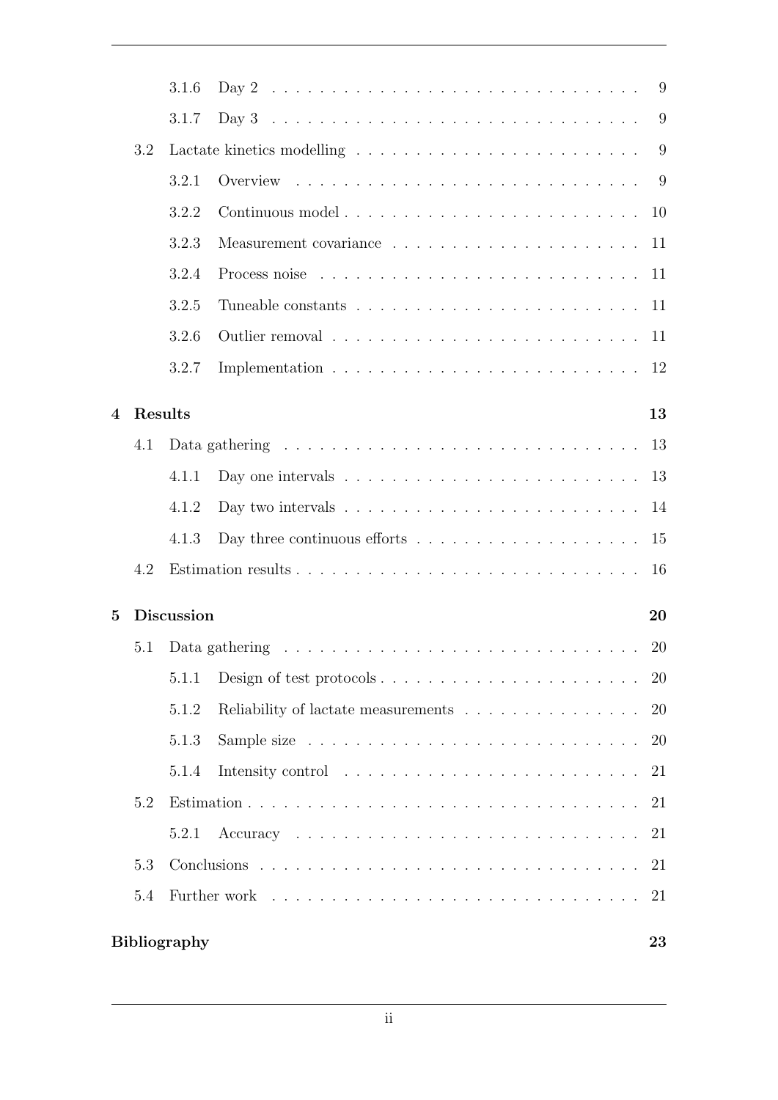|                          |         | 3.1.6               |                                                                                                                                                                                                                                | 9         |
|--------------------------|---------|---------------------|--------------------------------------------------------------------------------------------------------------------------------------------------------------------------------------------------------------------------------|-----------|
|                          |         | 3.1.7               |                                                                                                                                                                                                                                | 9         |
|                          | 3.2     |                     |                                                                                                                                                                                                                                | 9         |
|                          |         | 3.2.1               |                                                                                                                                                                                                                                |           |
|                          |         | 3.2.2               | Continuous model                                                                                                                                                                                                               | 10        |
|                          |         | 3.2.3               |                                                                                                                                                                                                                                | 11        |
|                          |         | 3.2.4               | Process noise recovered and contact the contact of the contact of the process noise of the contact of the contact of the contact of the contact of the contact of the contact of the contact of the contact of the contact of  | 11        |
|                          |         | 3.2.5               |                                                                                                                                                                                                                                | 11        |
|                          |         | 3.2.6               |                                                                                                                                                                                                                                | 11        |
|                          |         | 3.2.7               |                                                                                                                                                                                                                                | 12        |
|                          |         |                     |                                                                                                                                                                                                                                |           |
| $\overline{\mathcal{A}}$ | Results |                     | Data gathering $\ldots \ldots \ldots \ldots \ldots \ldots \ldots \ldots \ldots \ldots \ldots$                                                                                                                                  | 13        |
|                          | 4.1     |                     |                                                                                                                                                                                                                                | 13        |
|                          |         | 4.1.1               |                                                                                                                                                                                                                                | 13        |
|                          |         | 4.1.2               | Day two intervals $\ldots \ldots \ldots \ldots \ldots \ldots \ldots \ldots$                                                                                                                                                    | 14        |
|                          |         | 4.1.3               | Day three continuous efforts $\dots \dots \dots \dots \dots \dots \dots$                                                                                                                                                       | 15        |
|                          | 4.2     |                     |                                                                                                                                                                                                                                | 16        |
| $\overline{5}$           |         | <b>Discussion</b>   |                                                                                                                                                                                                                                | 20        |
|                          | 5.1     |                     |                                                                                                                                                                                                                                | 20        |
|                          |         | 5.1.1               |                                                                                                                                                                                                                                | 20        |
|                          |         | 5.1.2               | Reliability of lactate measurements                                                                                                                                                                                            | <b>20</b> |
|                          |         | 5.1.3               |                                                                                                                                                                                                                                | <b>20</b> |
|                          |         | 5.1.4               |                                                                                                                                                                                                                                | 21        |
|                          | 5.2     |                     |                                                                                                                                                                                                                                | 21        |
|                          |         | 5.2.1               |                                                                                                                                                                                                                                | 21        |
|                          | 5.3     |                     |                                                                                                                                                                                                                                | 21        |
|                          | 5.4     |                     | Further work response to the contract of the contract of the contract of the contract of the contract of the contract of the contract of the contract of the contract of the contract of the contract of the contract of the c | 21        |
|                          |         |                     |                                                                                                                                                                                                                                |           |
|                          |         | <b>Bibliography</b> |                                                                                                                                                                                                                                | 23        |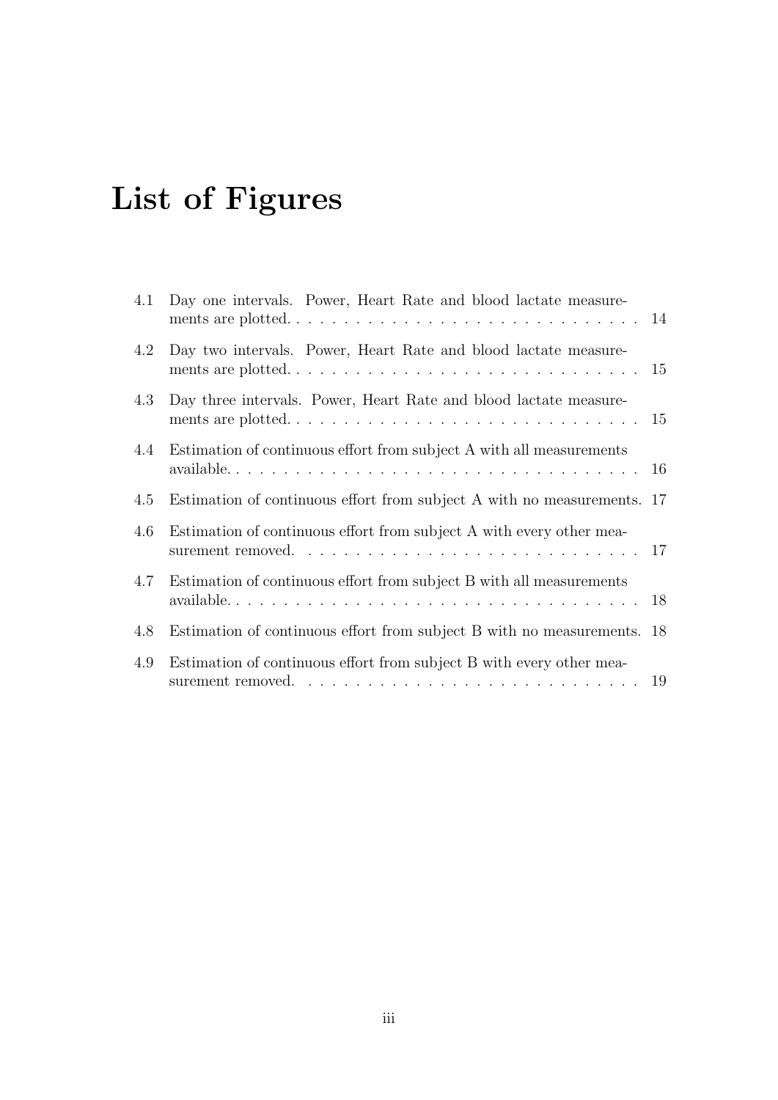# List of Figures

| 4.1 | Day one intervals. Power, Heart Rate and blood lactate measure-<br>ments are plotted | 14 |
|-----|--------------------------------------------------------------------------------------|----|
| 4.2 | Day two intervals. Power, Heart Rate and blood lactate measure-                      |    |
| 4.3 | Day three intervals. Power, Heart Rate and blood lactate measure-                    |    |
| 4.4 | Estimation of continuous effort from subject A with all measurements                 |    |
| 4.5 | Estimation of continuous effort from subject A with no measurements. 17              |    |
| 4.6 | Estimation of continuous effort from subject A with every other mea-                 |    |
| 4.7 | Estimation of continuous effort from subject B with all measurements                 |    |
| 4.8 | Estimation of continuous effort from subject B with no measurements. 18              |    |
| 4.9 | Estimation of continuous effort from subject B with every other mea-                 |    |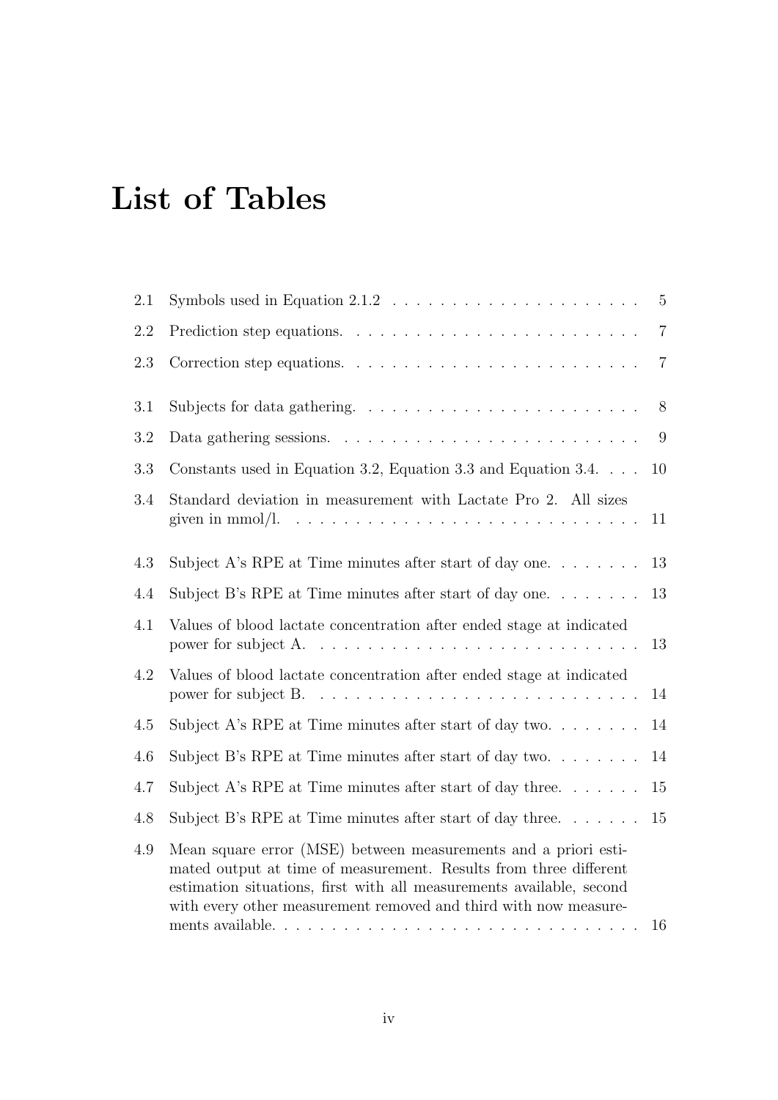## List of Tables

| 2.1     | Symbols used in Equation $2.1.2 \ldots \ldots \ldots \ldots \ldots \ldots \ldots$                                                                                                                                                                                                | $5\overline{)}$ |
|---------|----------------------------------------------------------------------------------------------------------------------------------------------------------------------------------------------------------------------------------------------------------------------------------|-----------------|
| 2.2     |                                                                                                                                                                                                                                                                                  | $\overline{7}$  |
| 2.3     |                                                                                                                                                                                                                                                                                  | $\overline{7}$  |
| 3.1     |                                                                                                                                                                                                                                                                                  | 8               |
| 3.2     |                                                                                                                                                                                                                                                                                  | 9               |
| 3.3     | Constants used in Equation 3.2, Equation 3.3 and Equation 3.4. $\ldots$                                                                                                                                                                                                          | 10              |
| 3.4     | Standard deviation in measurement with Lactate Pro 2. All sizes<br>given in mmol/l.                                                                                                                                                                                              | 11              |
| 4.3     | Subject A's RPE at Time minutes after start of day one. $\dots \dots$                                                                                                                                                                                                            | 13              |
| 4.4     | Subject B's RPE at Time minutes after start of day one                                                                                                                                                                                                                           | 13              |
| 4.1     | Values of blood lactate concentration after ended stage at indicated<br>power for subject A.                                                                                                                                                                                     | 13              |
| 4.2     | Values of blood lactate concentration after ended stage at indicated<br>power for subject B.                                                                                                                                                                                     | 14              |
| $4.5\,$ | Subject A's RPE at Time minutes after start of day two. $\dots \dots$                                                                                                                                                                                                            | 14              |
| 4.6     | Subject B's RPE at Time minutes after start of day two                                                                                                                                                                                                                           | 14              |
| 4.7     | Subject A's RPE at Time minutes after start of day three                                                                                                                                                                                                                         | $15\,$          |
| 4.8     | Subject B's RPE at Time minutes after start of day three. $\dots \dots$                                                                                                                                                                                                          | 15              |
| 4.9     | Mean square error (MSE) between measurements and a priori esti-<br>mated output at time of measurement. Results from three different<br>estimation situations, first with all measurements available, second<br>with every other measurement removed and third with now measure- | 16              |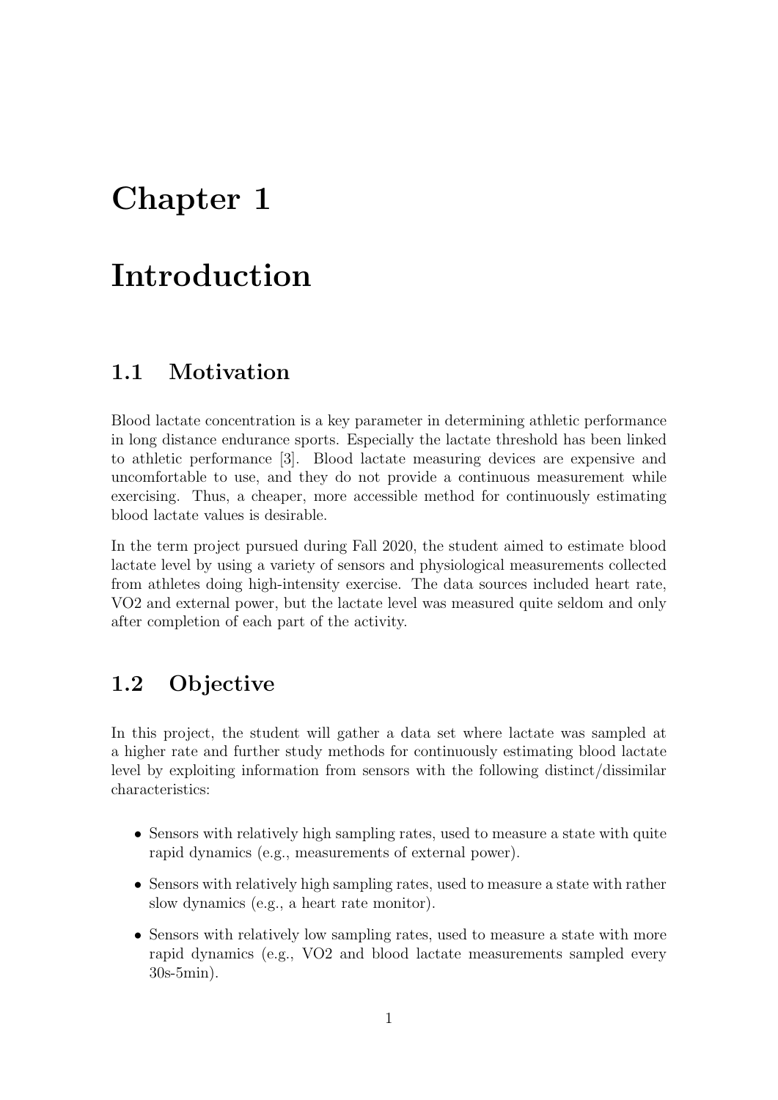## Chapter 1

## Introduction

### 1.1 Motivation

Blood lactate concentration is a key parameter in determining athletic performance in long distance endurance sports. Especially the lactate threshold has been linked to athletic performance [3]. Blood lactate measuring devices are expensive and uncomfortable to use, and they do not provide a continuous measurement while exercising. Thus, a cheaper, more accessible method for continuously estimating blood lactate values is desirable.

In the term project pursued during Fall 2020, the student aimed to estimate blood lactate level by using a variety of sensors and physiological measurements collected from athletes doing high-intensity exercise. The data sources included heart rate, VO2 and external power, but the lactate level was measured quite seldom and only after completion of each part of the activity.

### 1.2 Objective

In this project, the student will gather a data set where lactate was sampled at a higher rate and further study methods for continuously estimating blood lactate level by exploiting information from sensors with the following distinct/dissimilar characteristics:

- Sensors with relatively high sampling rates, used to measure a state with quite rapid dynamics (e.g., measurements of external power).
- Sensors with relatively high sampling rates, used to measure a state with rather slow dynamics (e.g., a heart rate monitor).
- Sensors with relatively low sampling rates, used to measure a state with more rapid dynamics (e.g., VO2 and blood lactate measurements sampled every 30s-5min).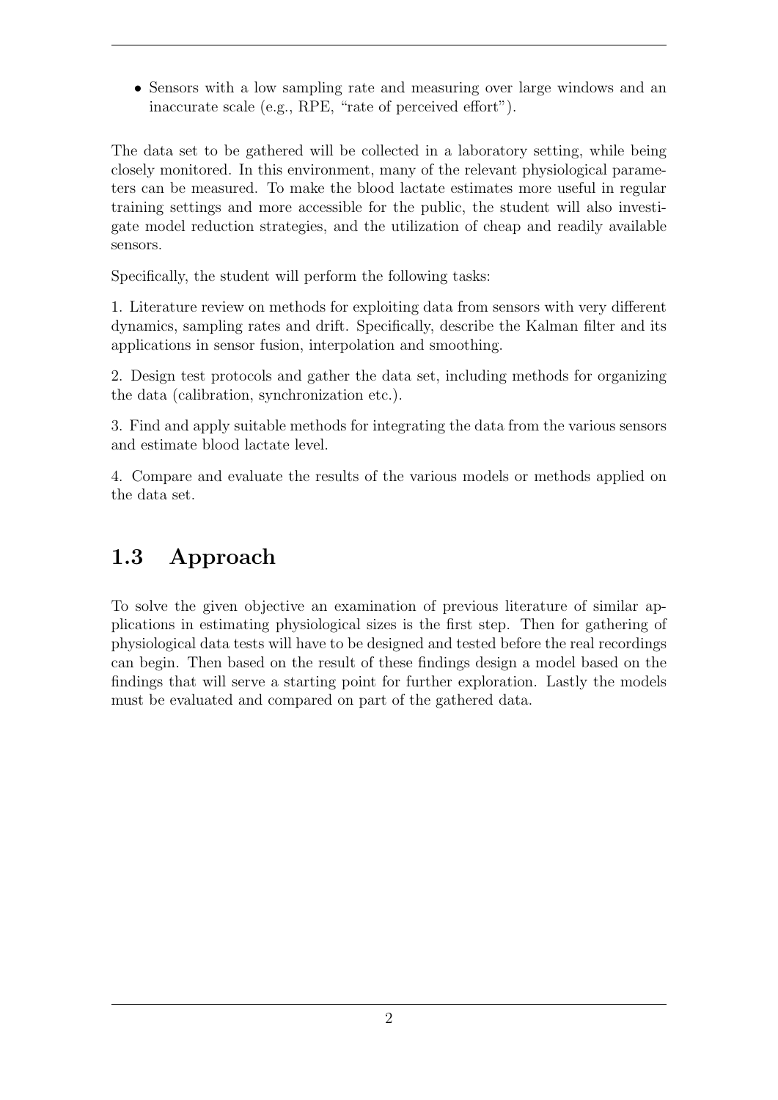• Sensors with a low sampling rate and measuring over large windows and an inaccurate scale (e.g., RPE, "rate of perceived effort").

The data set to be gathered will be collected in a laboratory setting, while being closely monitored. In this environment, many of the relevant physiological parameters can be measured. To make the blood lactate estimates more useful in regular training settings and more accessible for the public, the student will also investigate model reduction strategies, and the utilization of cheap and readily available sensors.

Specifically, the student will perform the following tasks:

1. Literature review on methods for exploiting data from sensors with very different dynamics, sampling rates and drift. Specifically, describe the Kalman filter and its applications in sensor fusion, interpolation and smoothing.

2. Design test protocols and gather the data set, including methods for organizing the data (calibration, synchronization etc.).

3. Find and apply suitable methods for integrating the data from the various sensors and estimate blood lactate level.

4. Compare and evaluate the results of the various models or methods applied on the data set.

### 1.3 Approach

To solve the given objective an examination of previous literature of similar applications in estimating physiological sizes is the first step. Then for gathering of physiological data tests will have to be designed and tested before the real recordings can begin. Then based on the result of these findings design a model based on the findings that will serve a starting point for further exploration. Lastly the models must be evaluated and compared on part of the gathered data.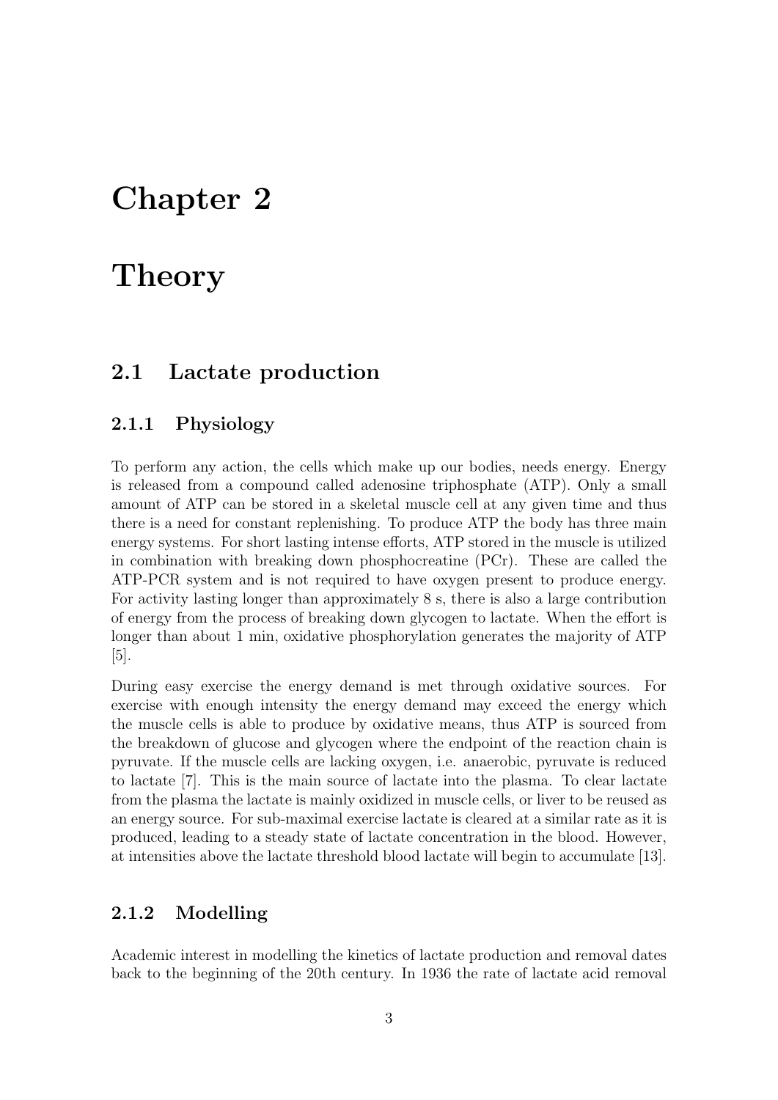## Chapter 2

## **Theory**

#### 2.1 Lactate production

#### 2.1.1 Physiology

To perform any action, the cells which make up our bodies, needs energy. Energy is released from a compound called adenosine triphosphate (ATP). Only a small amount of ATP can be stored in a skeletal muscle cell at any given time and thus there is a need for constant replenishing. To produce ATP the body has three main energy systems. For short lasting intense efforts, ATP stored in the muscle is utilized in combination with breaking down phosphocreatine (PCr). These are called the ATP-PCR system and is not required to have oxygen present to produce energy. For activity lasting longer than approximately 8 s, there is also a large contribution of energy from the process of breaking down glycogen to lactate. When the effort is longer than about 1 min, oxidative phosphorylation generates the majority of ATP [5].

During easy exercise the energy demand is met through oxidative sources. For exercise with enough intensity the energy demand may exceed the energy which the muscle cells is able to produce by oxidative means, thus ATP is sourced from the breakdown of glucose and glycogen where the endpoint of the reaction chain is pyruvate. If the muscle cells are lacking oxygen, i.e. anaerobic, pyruvate is reduced to lactate [7]. This is the main source of lactate into the plasma. To clear lactate from the plasma the lactate is mainly oxidized in muscle cells, or liver to be reused as an energy source. For sub-maximal exercise lactate is cleared at a similar rate as it is produced, leading to a steady state of lactate concentration in the blood. However, at intensities above the lactate threshold blood lactate will begin to accumulate [13].

#### 2.1.2 Modelling

Academic interest in modelling the kinetics of lactate production and removal dates back to the beginning of the 20th century. In 1936 the rate of lactate acid removal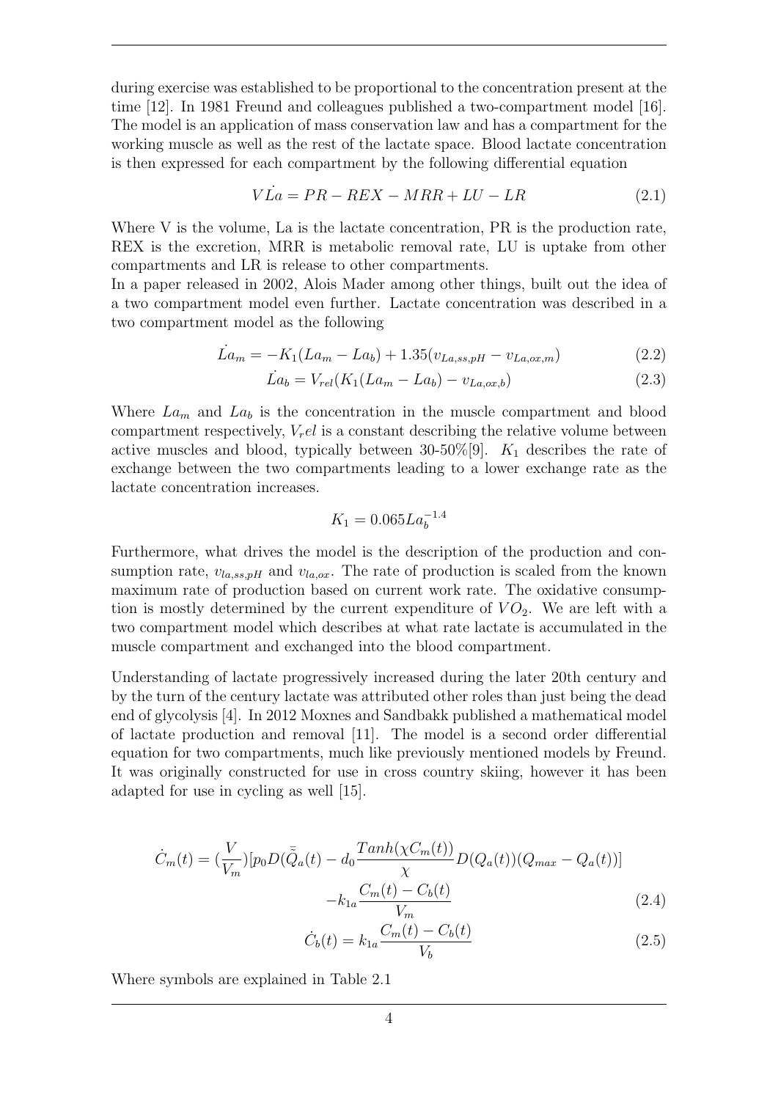during exercise was established to be proportional to the concentration present at the time [12]. In 1981 Freund and colleagues published a two-compartment model [16]. The model is an application of mass conservation law and has a compartment for the working muscle as well as the rest of the lactate space. Blood lactate concentration is then expressed for each compartment by the following differential equation

$$
V\dot{L}a = PR - REX - MRR + LU - LR \tag{2.1}
$$

Where V is the volume, La is the lactate concentration, PR is the production rate, REX is the excretion, MRR is metabolic removal rate, LU is uptake from other compartments and LR is release to other compartments.

In a paper released in 2002, Alois Mader among other things, built out the idea of a two compartment model even further. Lactate concentration was described in a two compartment model as the following

$$
\dot{L}a_m = -K_1(La_m - La_b) + 1.35(v_{La,ss,pH} - v_{La,ox,m})
$$
\n(2.2)

$$
\dot{La}_b = V_{rel}(K_1(La_m - La_b) - v_{La,ox,b})
$$
\n(2.3)

Where  $La_m$  and  $La_b$  is the concentration in the muscle compartment and blood compartment respectively,  $V_r e l$  is a constant describing the relative volume between active muscles and blood, typically between 30-50%[9].  $K_1$  describes the rate of exchange between the two compartments leading to a lower exchange rate as the lactate concentration increases.

$$
K_1 = 0.065 La_b^{-1.4}
$$

Furthermore, what drives the model is the description of the production and consumption rate,  $v_{la,ss,pH}$  and  $v_{la,ox}$ . The rate of production is scaled from the known maximum rate of production based on current work rate. The oxidative consumption is mostly determined by the current expenditure of  $VO<sub>2</sub>$ . We are left with a two compartment model which describes at what rate lactate is accumulated in the muscle compartment and exchanged into the blood compartment.

Understanding of lactate progressively increased during the later 20th century and by the turn of the century lactate was attributed other roles than just being the dead end of glycolysis [4]. In 2012 Moxnes and Sandbakk published a mathematical model of lactate production and removal [11]. The model is a second order differential equation for two compartments, much like previously mentioned models by Freund. It was originally constructed for use in cross country skiing, however it has been adapted for use in cycling as well [15].

$$
\dot{C}_m(t) = \left(\frac{V}{V_m}\right)[p_0 D(\bar{\tilde{Q}}_a(t) - d_0 \frac{Tanh(\chi C_m(t))}{\chi}D(Q_a(t))(Q_{max} - Q_a(t))]
$$

$$
-k_{1a} \frac{C_m(t) - C_b(t)}{V_m}
$$
(2.4)

$$
\dot{C}_b(t) = k_{1a} \frac{C_m(t) - C_b(t)}{V_b} \tag{2.5}
$$

Where symbols are explained in Table 2.1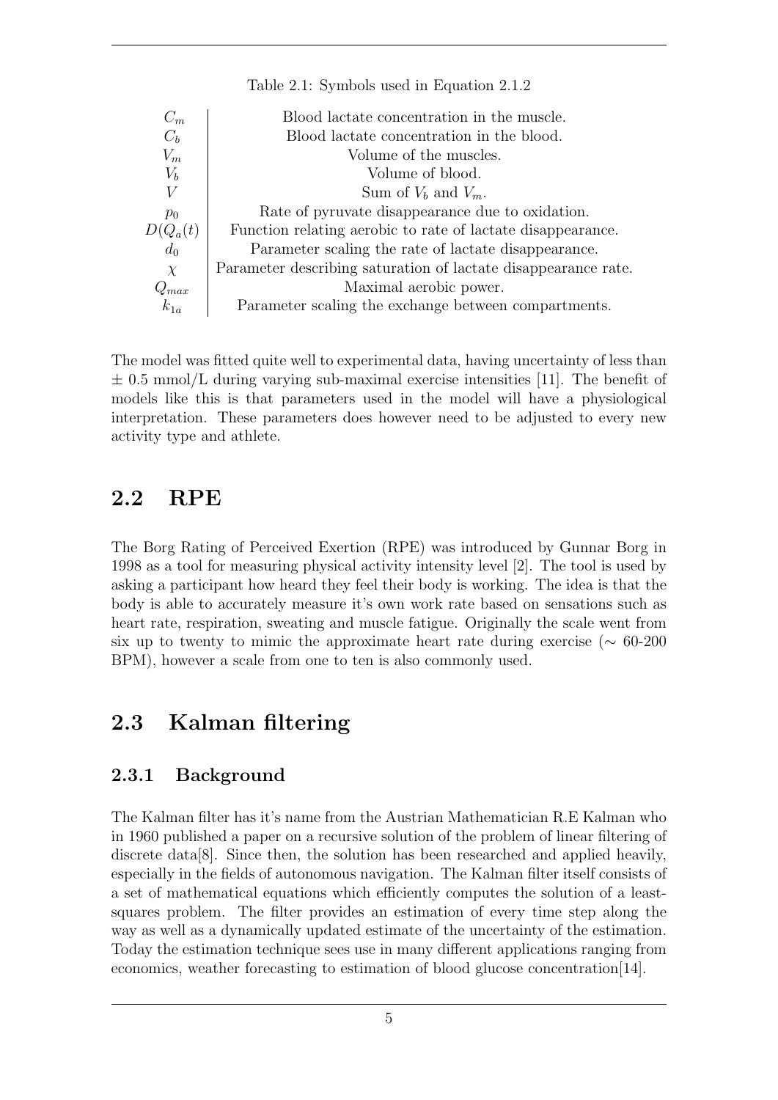| $C_m$     | Blood lactate concentration in the muscle.                     |
|-----------|----------------------------------------------------------------|
| $C_b$     | Blood lactate concentration in the blood.                      |
| $V_{m}$   | Volume of the muscles.                                         |
| $V_b$     | Volume of blood.                                               |
| V         | Sum of $V_b$ and $V_m$ .                                       |
| $p_0$     | Rate of pyruvate disappearance due to oxidation.               |
| $Q_a(t)$  | Function relating aerobic to rate of lactate disappearance.    |
| $d_0$     | Parameter scaling the rate of lactate disappearance.           |
| $\chi$    | Parameter describing saturation of lactate disappearance rate. |
| $Q_{max}$ | Maximal aerobic power.                                         |
| $k_{1a}$  | Parameter scaling the exchange between compartments.           |

Table 2.1: Symbols used in Equation 2.1.2

The model was fitted quite well to experimental data, having uncertainty of less than  $\pm$  0.5 mmol/L during varying sub-maximal exercise intensities [11]. The benefit of models like this is that parameters used in the model will have a physiological interpretation. These parameters does however need to be adjusted to every new activity type and athlete.

### 2.2 RPE

The Borg Rating of Perceived Exertion (RPE) was introduced by Gunnar Borg in 1998 as a tool for measuring physical activity intensity level [2]. The tool is used by asking a participant how heard they feel their body is working. The idea is that the body is able to accurately measure it's own work rate based on sensations such as heart rate, respiration, sweating and muscle fatigue. Originally the scale went from six up to twenty to mimic the approximate heart rate during exercise ( $\sim 60$ -200 BPM), however a scale from one to ten is also commonly used.

### 2.3 Kalman filtering

#### 2.3.1 Background

The Kalman filter has it's name from the Austrian Mathematician R.E Kalman who in 1960 published a paper on a recursive solution of the problem of linear filtering of discrete data[8]. Since then, the solution has been researched and applied heavily, especially in the fields of autonomous navigation. The Kalman filter itself consists of a set of mathematical equations which efficiently computes the solution of a leastsquares problem. The filter provides an estimation of every time step along the way as well as a dynamically updated estimate of the uncertainty of the estimation. Today the estimation technique sees use in many different applications ranging from economics, weather forecasting to estimation of blood glucose concentration[14].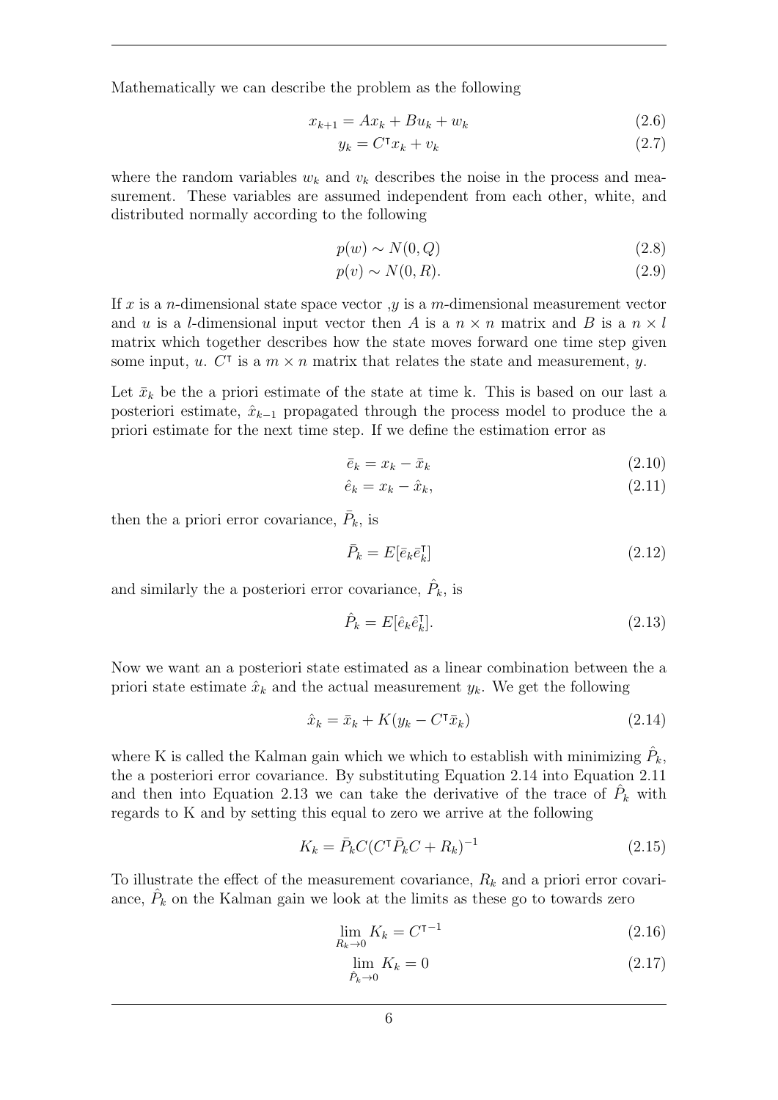Mathematically we can describe the problem as the following

$$
x_{k+1} = Ax_k + Bu_k + w_k \t\t(2.6)
$$

$$
y_k = C^{\mathsf{T}} x_k + v_k \tag{2.7}
$$

where the random variables  $w_k$  and  $v_k$  describes the noise in the process and measurement. These variables are assumed independent from each other, white, and distributed normally according to the following

$$
p(w) \sim N(0, Q) \tag{2.8}
$$

$$
p(v) \sim N(0, R). \tag{2.9}
$$

If x is a n-dimensional state space vector  $y$  is a m-dimensional measurement vector and u is a l-dimensional input vector then A is a  $n \times n$  matrix and B is a  $n \times l$ matrix which together describes how the state moves forward one time step given some input, u.  $\tilde{C}^{\dagger}$  is a  $m \times n$  matrix that relates the state and measurement, y.

Let  $\bar{x}_k$  be the a priori estimate of the state at time k. This is based on our last a posteriori estimate,  $\hat{x}_{k-1}$  propagated through the process model to produce the a priori estimate for the next time step. If we define the estimation error as

$$
\bar{e}_k = x_k - \bar{x}_k \tag{2.10}
$$

$$
\hat{e}_k = x_k - \hat{x}_k, \tag{2.11}
$$

then the a priori error covariance,  $\bar{P}_k$ , is

$$
\bar{P}_k = E[\bar{e}_k \bar{e}_k^\dagger] \tag{2.12}
$$

and similarly the a posteriori error covariance,  $\hat{P}_k$ , is

$$
\hat{P}_k = E[\hat{e}_k \hat{e}_k^{\dagger}]. \tag{2.13}
$$

Now we want an a posteriori state estimated as a linear combination between the a priori state estimate  $\hat{x}_k$  and the actual measurement  $y_k$ . We get the following

$$
\hat{x}_k = \bar{x}_k + K(y_k - C^{\mathsf{T}} \bar{x}_k) \tag{2.14}
$$

where K is called the Kalman gain which we which to establish with minimizing  $\hat{P}_k$ , the a posteriori error covariance. By substituting Equation 2.14 into Equation 2.11 and then into Equation 2.13 we can take the derivative of the trace of  $\hat{P}_k$  with regards to K and by setting this equal to zero we arrive at the following

$$
K_k = \bar{P}_k C (C^{\dagger} \bar{P}_k C + R_k)^{-1}
$$
\n(2.15)

To illustrate the effect of the measurement covariance,  $R_k$  and a priori error covariance,  $\hat{P}_k$  on the Kalman gain we look at the limits as these go to towards zero

$$
\lim_{R_k \to 0} K_k = C^{\mathsf{T}^{-1}} \tag{2.16}
$$

$$
\lim_{\hat{P}_k \to 0} K_k = 0 \tag{2.17}
$$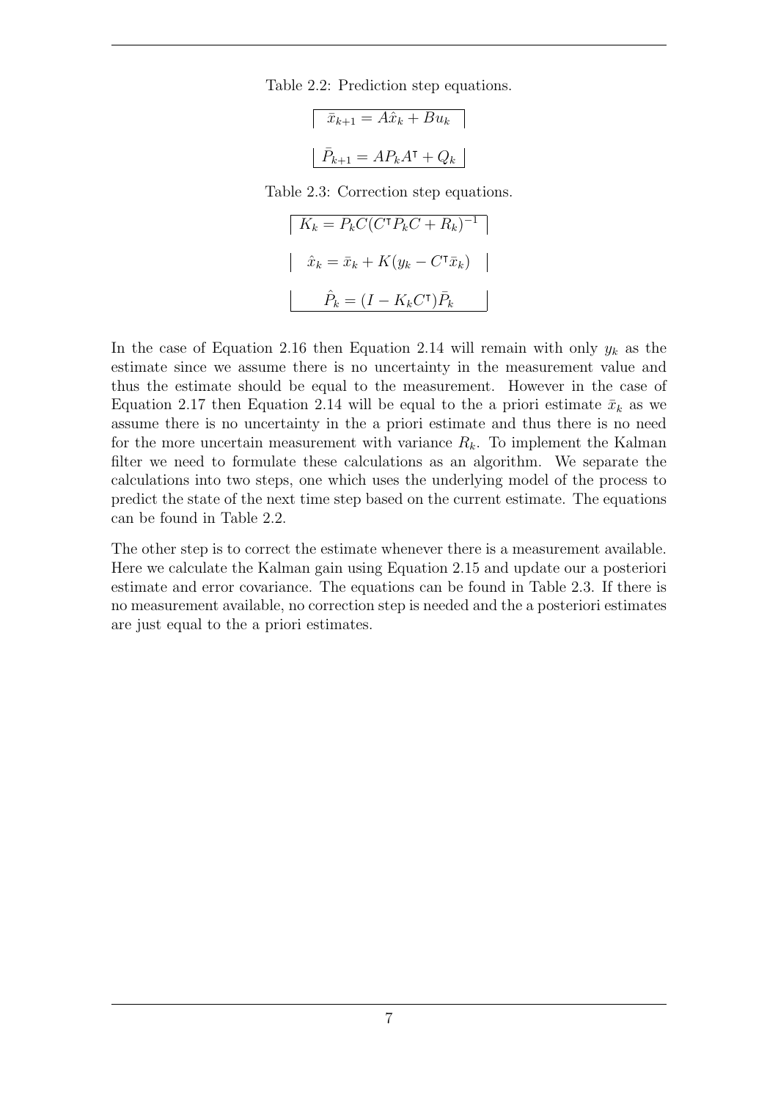Table 2.2: Prediction step equations.

$$
\overline{x}_{k+1} = A\hat{x}_k + Bu_k
$$

$$
\overline{P}_{k+1} = AP_kA^{\mathsf{T}} + Q_k
$$

Table 2.3: Correction step equations.

$$
K_k = \bar{P}_k C (C^{\mathsf{T}} \bar{P}_k C + R_k)^{-1}
$$

$$
\hat{x}_k = \bar{x}_k + K (y_k - C^{\mathsf{T}} \bar{x}_k)
$$

$$
\hat{P}_k = (I - K_k C^{\mathsf{T}}) \bar{P}_k
$$

In the case of Equation 2.16 then Equation 2.14 will remain with only  $y_k$  as the estimate since we assume there is no uncertainty in the measurement value and thus the estimate should be equal to the measurement. However in the case of Equation 2.17 then Equation 2.14 will be equal to the a priori estimate  $\bar{x}_k$  as we assume there is no uncertainty in the a priori estimate and thus there is no need for the more uncertain measurement with variance  $R_k$ . To implement the Kalman filter we need to formulate these calculations as an algorithm. We separate the calculations into two steps, one which uses the underlying model of the process to predict the state of the next time step based on the current estimate. The equations can be found in Table 2.2.

The other step is to correct the estimate whenever there is a measurement available. Here we calculate the Kalman gain using Equation 2.15 and update our a posteriori estimate and error covariance. The equations can be found in Table 2.3. If there is no measurement available, no correction step is needed and the a posteriori estimates are just equal to the a priori estimates.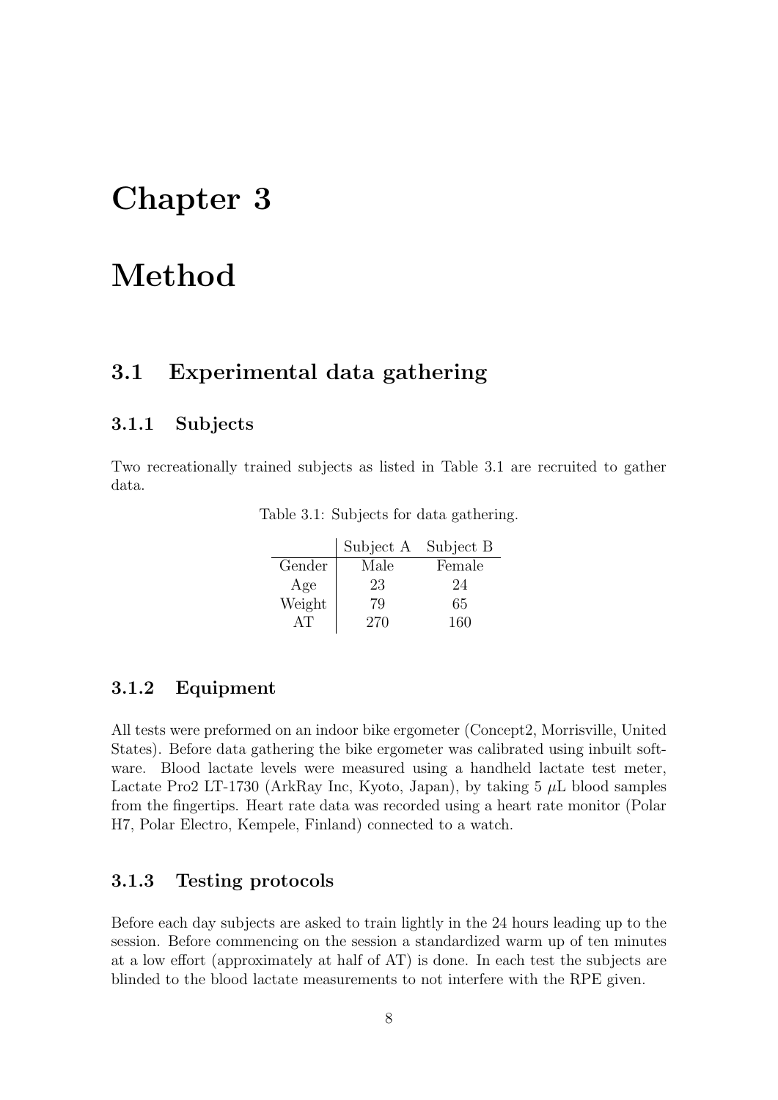## Chapter 3

## Method

### 3.1 Experimental data gathering

#### 3.1.1 Subjects

Two recreationally trained subjects as listed in Table 3.1 are recruited to gather data.

|        | Subject A | Subject B |
|--------|-----------|-----------|
| Gender | Male      | Female    |
| Age    | 23        | 24        |
| Weight | 79        | 65        |
|        | 270       | 160       |

Table 3.1: Subjects for data gathering.

#### 3.1.2 Equipment

All tests were preformed on an indoor bike ergometer (Concept2, Morrisville, United States). Before data gathering the bike ergometer was calibrated using inbuilt software. Blood lactate levels were measured using a handheld lactate test meter, Lactate Pro2 LT-1730 (ArkRay Inc, Kyoto, Japan), by taking 5  $\mu$ L blood samples from the fingertips. Heart rate data was recorded using a heart rate monitor (Polar H7, Polar Electro, Kempele, Finland) connected to a watch.

#### 3.1.3 Testing protocols

Before each day subjects are asked to train lightly in the 24 hours leading up to the session. Before commencing on the session a standardized warm up of ten minutes at a low effort (approximately at half of AT) is done. In each test the subjects are blinded to the blood lactate measurements to not interfere with the RPE given.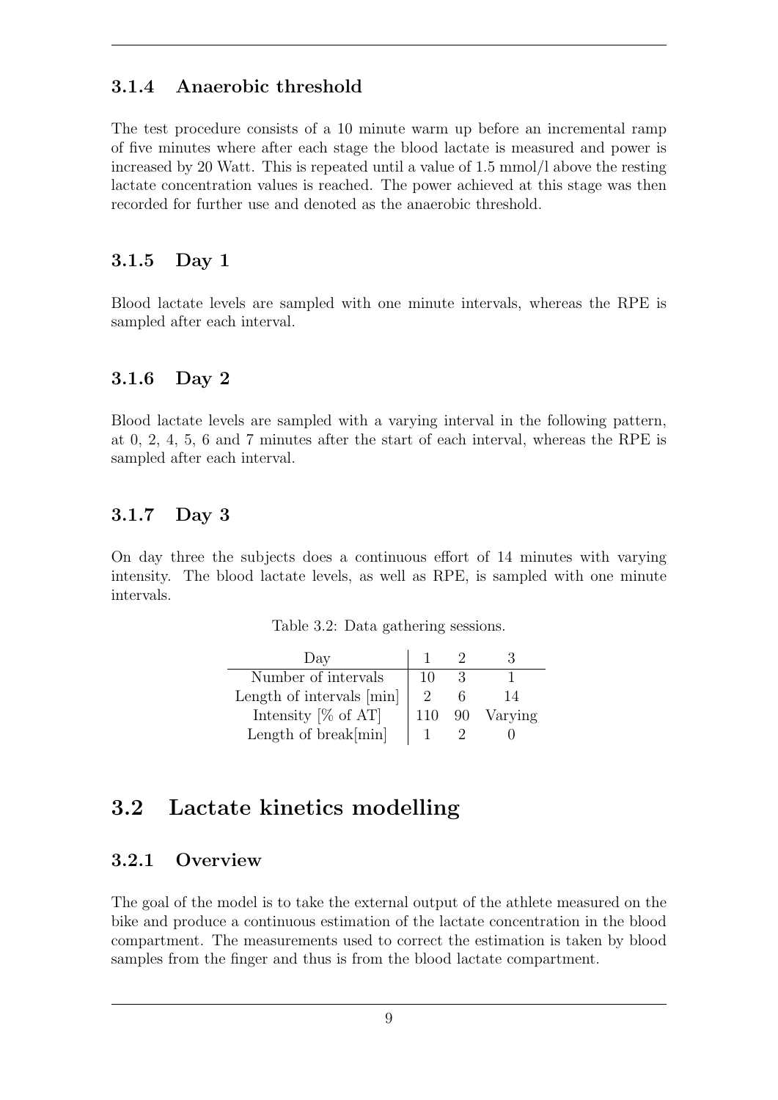#### 3.1.4 Anaerobic threshold

The test procedure consists of a 10 minute warm up before an incremental ramp of five minutes where after each stage the blood lactate is measured and power is increased by 20 Watt. This is repeated until a value of 1.5 mmol/l above the resting lactate concentration values is reached. The power achieved at this stage was then recorded for further use and denoted as the anaerobic threshold.

#### 3.1.5 Day 1

Blood lactate levels are sampled with one minute intervals, whereas the RPE is sampled after each interval.

#### 3.1.6 Day 2

Blood lactate levels are sampled with a varying interval in the following pattern, at 0, 2, 4, 5, 6 and 7 minutes after the start of each interval, whereas the RPE is sampled after each interval.

#### 3.1.7 Day 3

On day three the subjects does a continuous effort of 14 minutes with varying intensity. The blood lactate levels, as well as RPE, is sampled with one minute intervals.

|  | Table 3.2: Data gathering sessions. |  |
|--|-------------------------------------|--|
|  |                                     |  |

| Day                       |     |    |         |
|---------------------------|-----|----|---------|
| Number of intervals       | 10  |    |         |
| Length of intervals [min] |     |    | 14      |
| Intensity $[\%$ of AT]    | 110 | 90 | Varying |
| Length of $break[min]$    |     |    |         |

### 3.2 Lactate kinetics modelling

#### 3.2.1 Overview

The goal of the model is to take the external output of the athlete measured on the bike and produce a continuous estimation of the lactate concentration in the blood compartment. The measurements used to correct the estimation is taken by blood samples from the finger and thus is from the blood lactate compartment.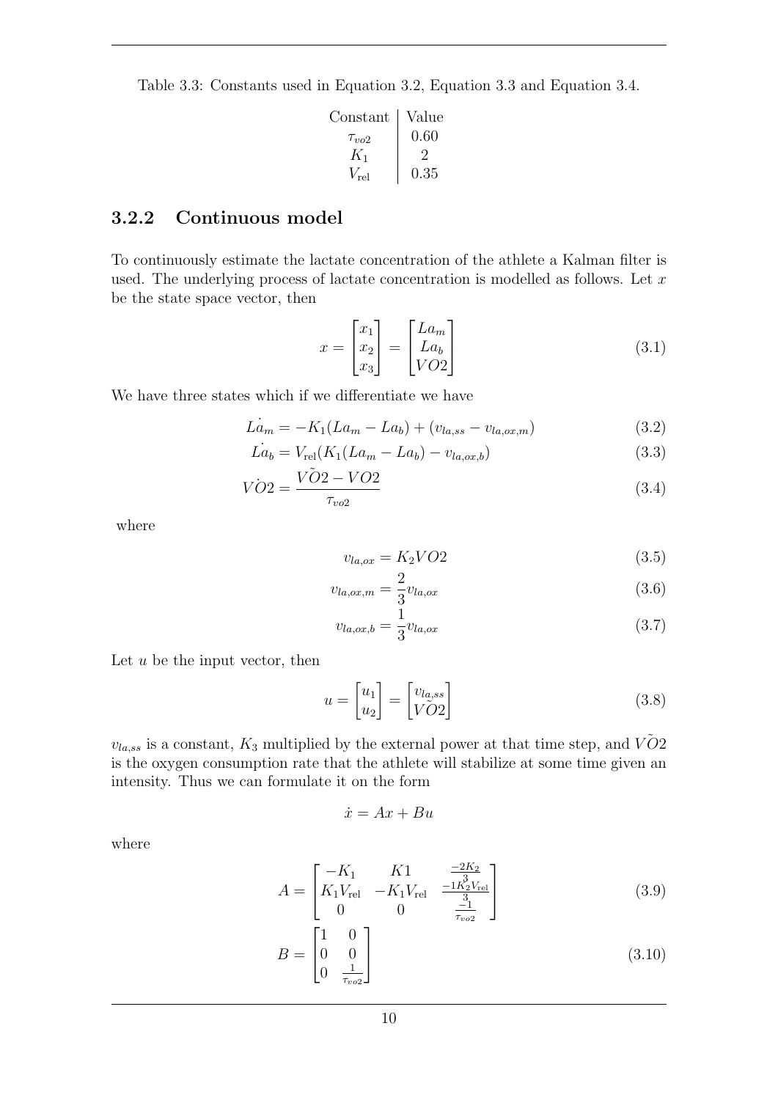Table 3.3: Constants used in Equation 3.2, Equation 3.3 and Equation 3.4.

| Constant      | Value |
|---------------|-------|
| $\tau_{vo2}$  | 0.60  |
| $K_1$         |       |
| $V_{\rm rel}$ | 0.35  |

#### 3.2.2 Continuous model

To continuously estimate the lactate concentration of the athlete a Kalman filter is used. The underlying process of lactate concentration is modelled as follows. Let  $x$ be the state space vector, then

$$
x = \begin{bmatrix} x_1 \\ x_2 \\ x_3 \end{bmatrix} = \begin{bmatrix} La_m \\ La_b \\ VO2 \end{bmatrix}
$$
 (3.1)

We have three states which if we differentiate we have

$$
\dot{La}_m = -K_1(La_m - La_b) + (v_{la,ss} - v_{la,ox,m})
$$
\n(3.2)

$$
\dot{La_b} = V_{\rm rel}(K_1(La_m - La_b) - v_{la,ox,b})
$$
\n(3.3)

$$
\dot{VO2} = \frac{\dot{VO2} - VO2}{\tau_{vo2}}\tag{3.4}
$$

where

$$
v_{la,ox} = K_2 VO2 \tag{3.5}
$$

$$
v_{la,ox,m} = \frac{2}{3} v_{la,ox}
$$
\n(3.6)

$$
v_{la,ox,b} = \frac{1}{3}v_{la,ox}
$$
\n
$$
(3.7)
$$

Let  $u$  be the input vector, then

$$
u = \begin{bmatrix} u_1 \\ u_2 \end{bmatrix} = \begin{bmatrix} v_{la,ss} \\ V\tilde{O}2 \end{bmatrix}
$$
 (3.8)

 $v_{la,ss}$  is a constant,  $K_3$  multiplied by the external power at that time step, and  $V\tilde{O}2$ is the oxygen consumption rate that the athlete will stabilize at some time given an intensity. Thus we can formulate it on the form

$$
\dot{x} = Ax + Bu
$$

where

$$
A = \begin{bmatrix} -K_1 & K1 & \frac{-2K_2}{3} \\ K_1 V_{\text{rel}} & -K_1 V_{\text{rel}} & \frac{-1K_2 V_{\text{rel}}}{3} \\ 0 & 0 & \frac{-1}{\tau_{vo2}} \end{bmatrix}
$$
(3.9)

$$
B = \begin{bmatrix} 1 & 0 \\ 0 & 0 \\ 0 & \frac{1}{\tau_{vo2}} \end{bmatrix}
$$
 (3.10)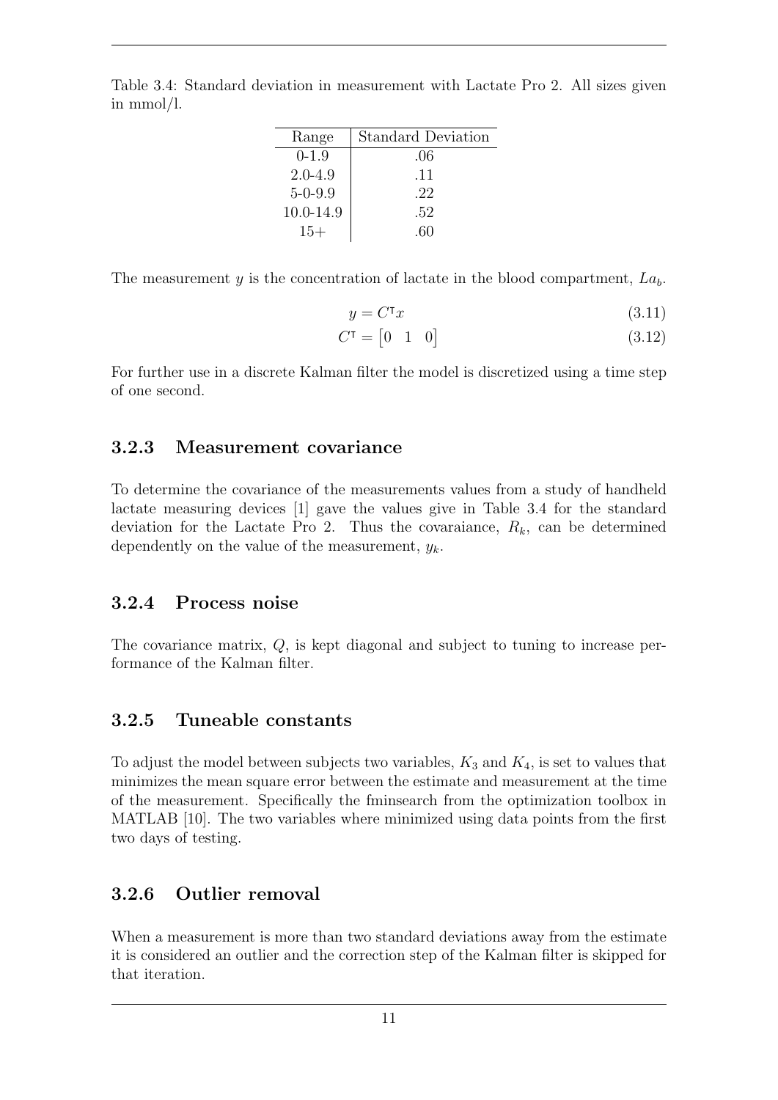| Range         | <b>Standard Deviation</b> |
|---------------|---------------------------|
| $0-1.9$       | .06                       |
| $2.0 - 4.9$   | .11                       |
| $5 - 0 - 9.9$ | .22                       |
| 10.0-14.9     | .52                       |
| $15+$         | .60                       |

Table 3.4: Standard deviation in measurement with Lactate Pro 2. All sizes given in mmol/l.

The measurement y is the concentration of lactate in the blood compartment,  $La<sub>b</sub>$ .

$$
y = C^{\mathsf{T}} x \tag{3.11}
$$

$$
C^{\mathsf{T}} = \begin{bmatrix} 0 & 1 & 0 \end{bmatrix} \tag{3.12}
$$

For further use in a discrete Kalman filter the model is discretized using a time step of one second.

#### 3.2.3 Measurement covariance

To determine the covariance of the measurements values from a study of handheld lactate measuring devices [1] gave the values give in Table 3.4 for the standard deviation for the Lactate Pro 2. Thus the covaraiance,  $R_k$ , can be determined dependently on the value of the measurement,  $y_k$ .

#### 3.2.4 Process noise

The covariance matrix, Q, is kept diagonal and subject to tuning to increase performance of the Kalman filter.

#### 3.2.5 Tuneable constants

To adjust the model between subjects two variables,  $K_3$  and  $K_4$ , is set to values that minimizes the mean square error between the estimate and measurement at the time of the measurement. Specifically the fminsearch from the optimization toolbox in MATLAB [10]. The two variables where minimized using data points from the first two days of testing.

#### 3.2.6 Outlier removal

When a measurement is more than two standard deviations away from the estimate it is considered an outlier and the correction step of the Kalman filter is skipped for that iteration.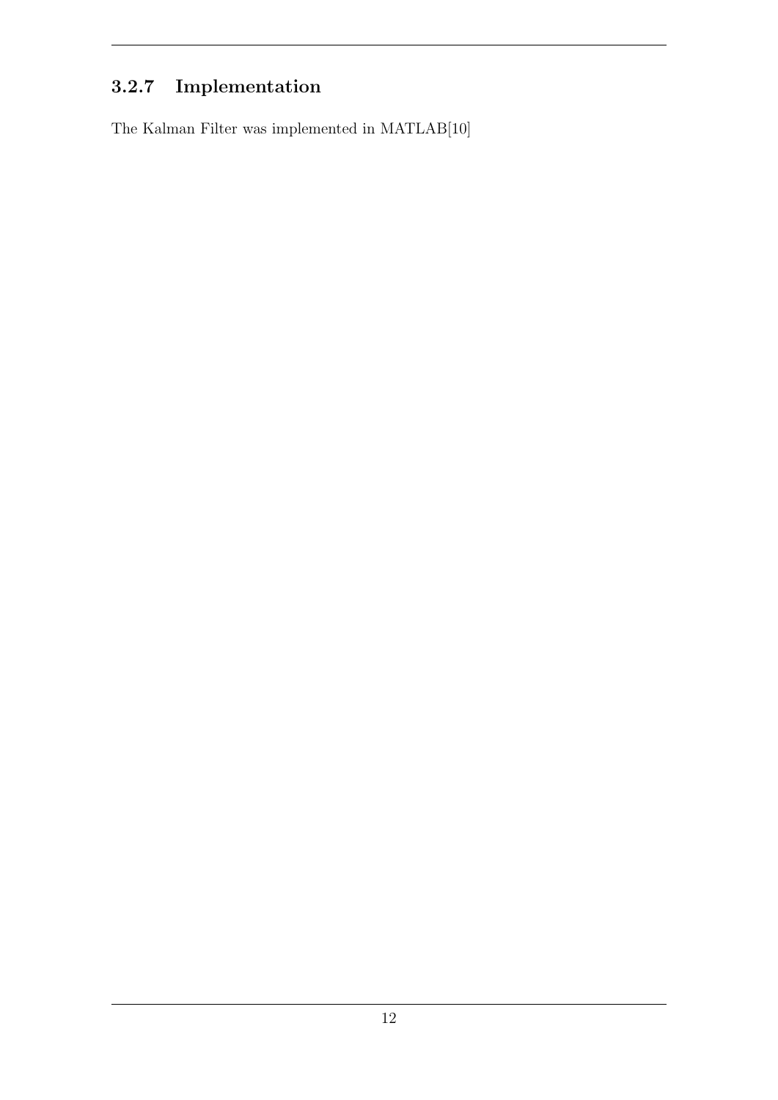## 3.2.7 Implementation

The Kalman Filter was implemented in MATLAB[10]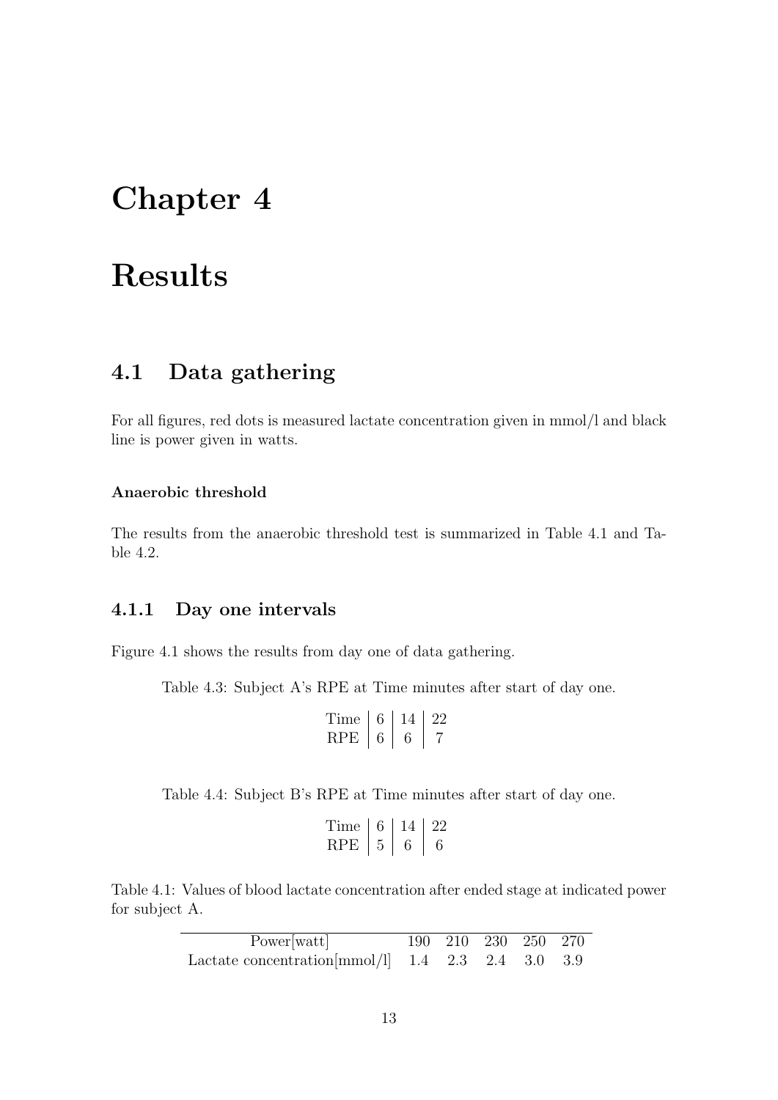## Chapter 4

## Results

### 4.1 Data gathering

For all figures, red dots is measured lactate concentration given in mmol/l and black line is power given in watts.

#### Anaerobic threshold

The results from the anaerobic threshold test is summarized in Table 4.1 and Table 4.2.

#### 4.1.1 Day one intervals

Figure 4.1 shows the results from day one of data gathering.

Table 4.3: Subject A's RPE at Time minutes after start of day one.

$$
\begin{array}{c|c|c}\n\text{Time} & 6 & 14 & 22 \\
\text{RPE} & 6 & 6 & 7\n\end{array}
$$

Table 4.4: Subject B's RPE at Time minutes after start of day one.

| Time | n | $\prime$ . $\prime$ |
|------|---|---------------------|
| RPE  |   |                     |

Table 4.1: Values of blood lactate concentration after ended stage at indicated power for subject A.

| Power[watt]                                               | 190 210 230 250 270 |  |  |
|-----------------------------------------------------------|---------------------|--|--|
| Lactate concentration $\text{mmol/l}$ 1.4 2.3 2.4 3.0 3.9 |                     |  |  |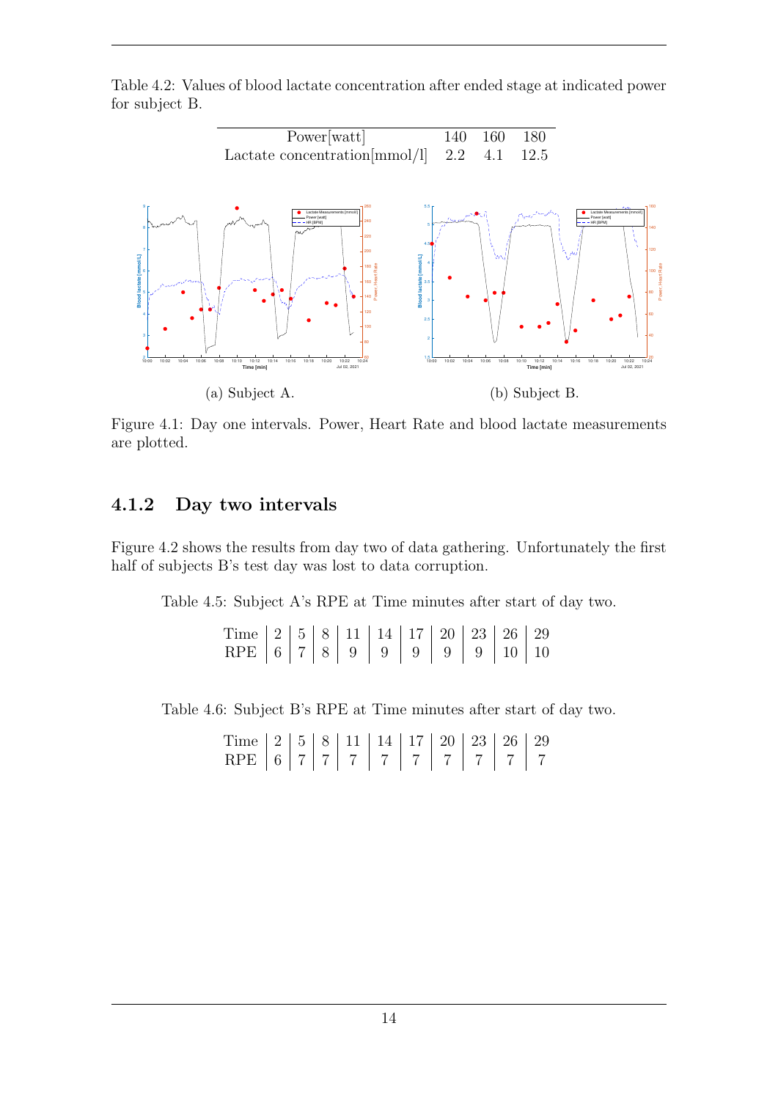Table 4.2: Values of blood lactate concentration after ended stage at indicated power for subject B.



Figure 4.1: Day one intervals. Power, Heart Rate and blood lactate measurements are plotted.

#### 4.1.2 Day two intervals

Figure 4.2 shows the results from day two of data gathering. Unfortunately the first half of subjects B's test day was lost to data corruption.

Table 4.5: Subject A's RPE at Time minutes after start of day two.

Time | 2 | 5 | 8 | 11 | 14 | 17 | 20 | 23 | 26 | 29 RPE | 6 | 7 | 8 | 9 | 9 | 9 | 9 | 9 | 10 | 10

Table 4.6: Subject B's RPE at Time minutes after start of day two.

Time | 2 | 5 | 8 | 11 | 14 | 17 | 20 | 23 | 26 | 29 RPE 6 7 7 7 7 7 7 7 7 7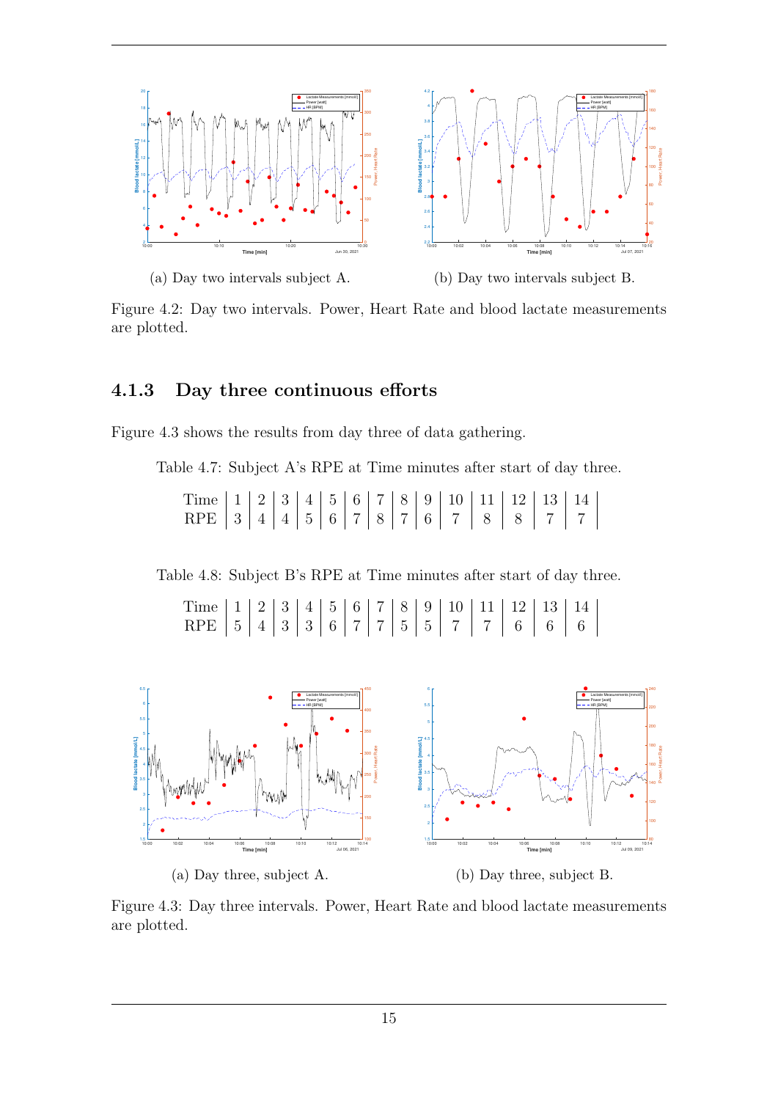

Figure 4.2: Day two intervals. Power, Heart Rate and blood lactate measurements are plotted.

#### 4.1.3 Day three continuous efforts

Figure 4.3 shows the results from day three of data gathering.

Table 4.7: Subject A's RPE at Time minutes after start of day three.

Time | 1 | 2 | 3 | 4 | 5 | 6 | 7 | 8 | 9 | 10 | 11 | 12 | 13 | 14 RPE 3 4 4 5 6 7 8 7 6 7 8 7 8 7 7

Table 4.8: Subject B's RPE at Time minutes after start of day three.

Time | 1 | 2 | 3 | 4 | 5 | 6 | 7 | 8 | 9 | 10 | 11 | 12 | 13 | 14  $\rm RPE$  | 5 | 4 | 3 | 3 | 6 | 7 | 7 | 5 | 5 | 7 | 7 | 6 | 6 | 6



Figure 4.3: Day three intervals. Power, Heart Rate and blood lactate measurements are plotted.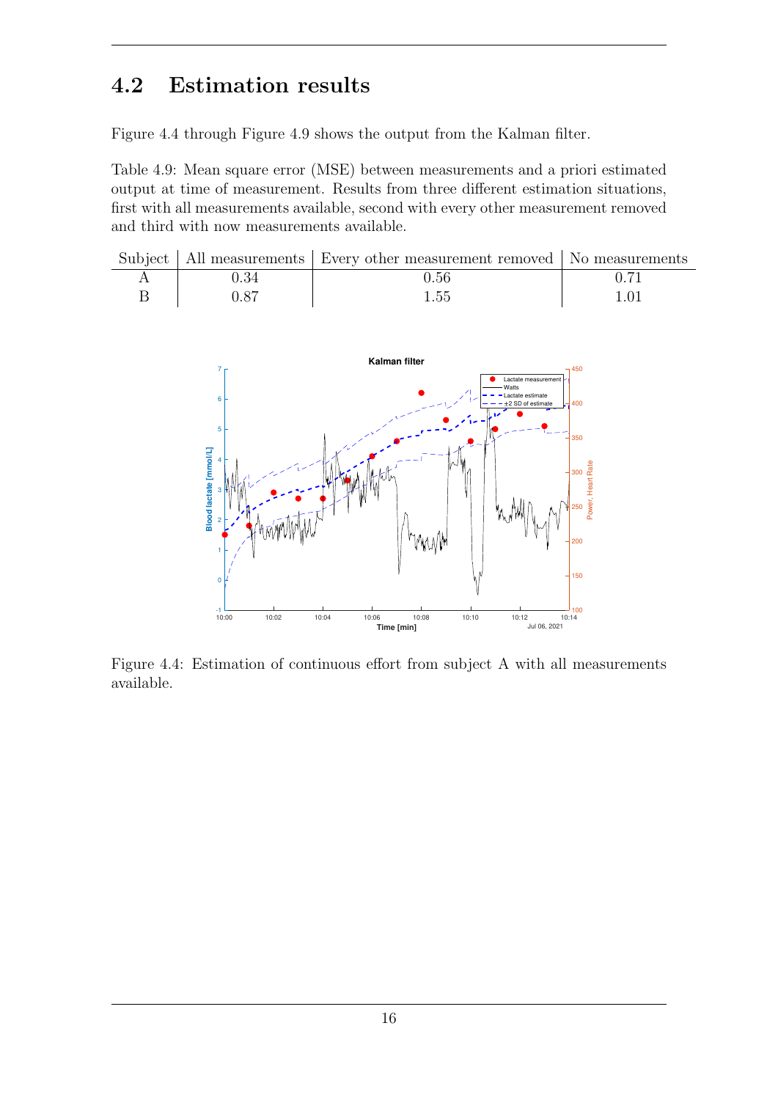### 4.2 Estimation results

Figure 4.4 through Figure 4.9 shows the output from the Kalman filter.

Table 4.9: Mean square error (MSE) between measurements and a priori estimated output at time of measurement. Results from three different estimation situations, first with all measurements available, second with every other measurement removed and third with now measurements available.

| 0.56<br>0.87 |  | Subject   All measurements   Every other measurement removed   No measurements |  |
|--------------|--|--------------------------------------------------------------------------------|--|
|              |  |                                                                                |  |
|              |  | 1.55                                                                           |  |



Figure 4.4: Estimation of continuous effort from subject A with all measurements available.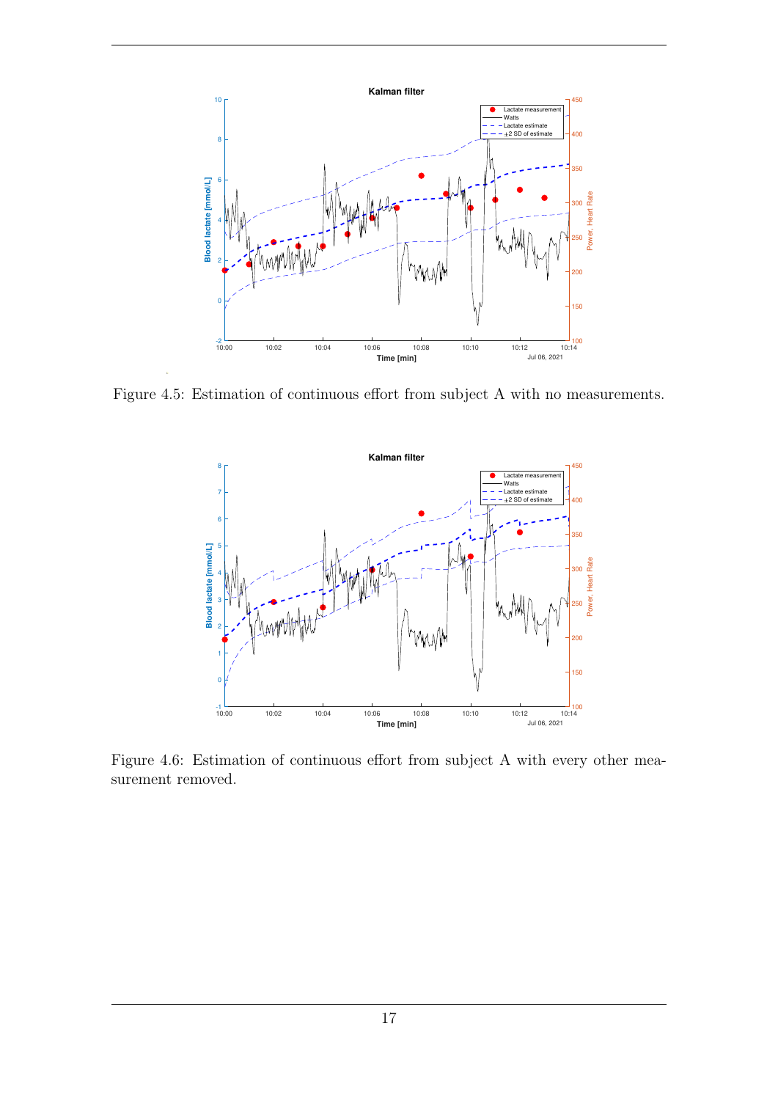

Figure 4.5: Estimation of continuous effort from subject A with no measurements.



Figure 4.6: Estimation of continuous effort from subject A with every other measurement removed.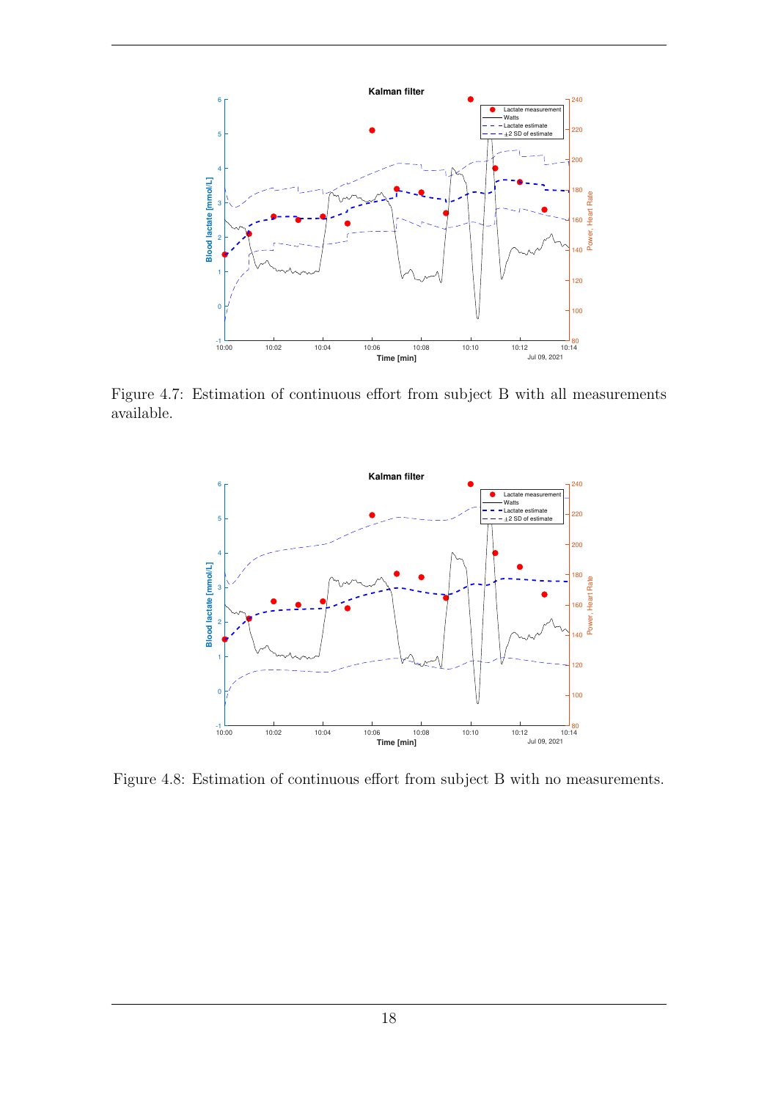

Figure 4.7: Estimation of continuous effort from subject B with all measurements available.



Figure 4.8: Estimation of continuous effort from subject B with no measurements.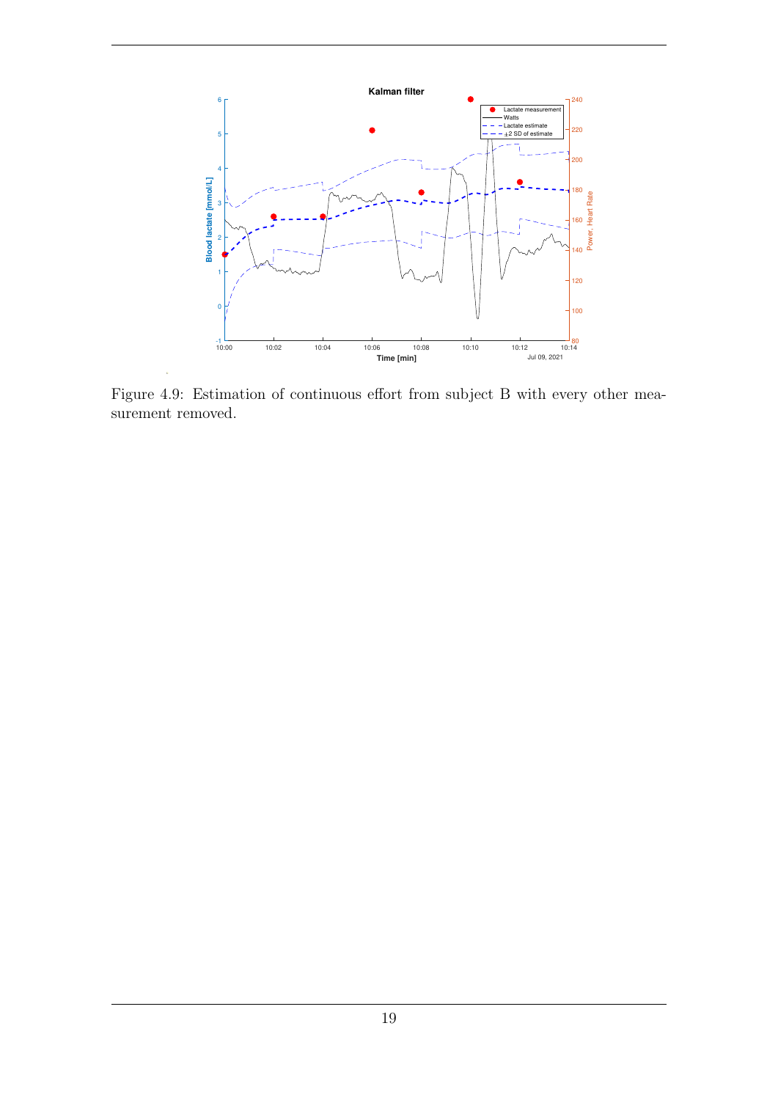

Figure 4.9: Estimation of continuous effort from subject B with every other measurement removed.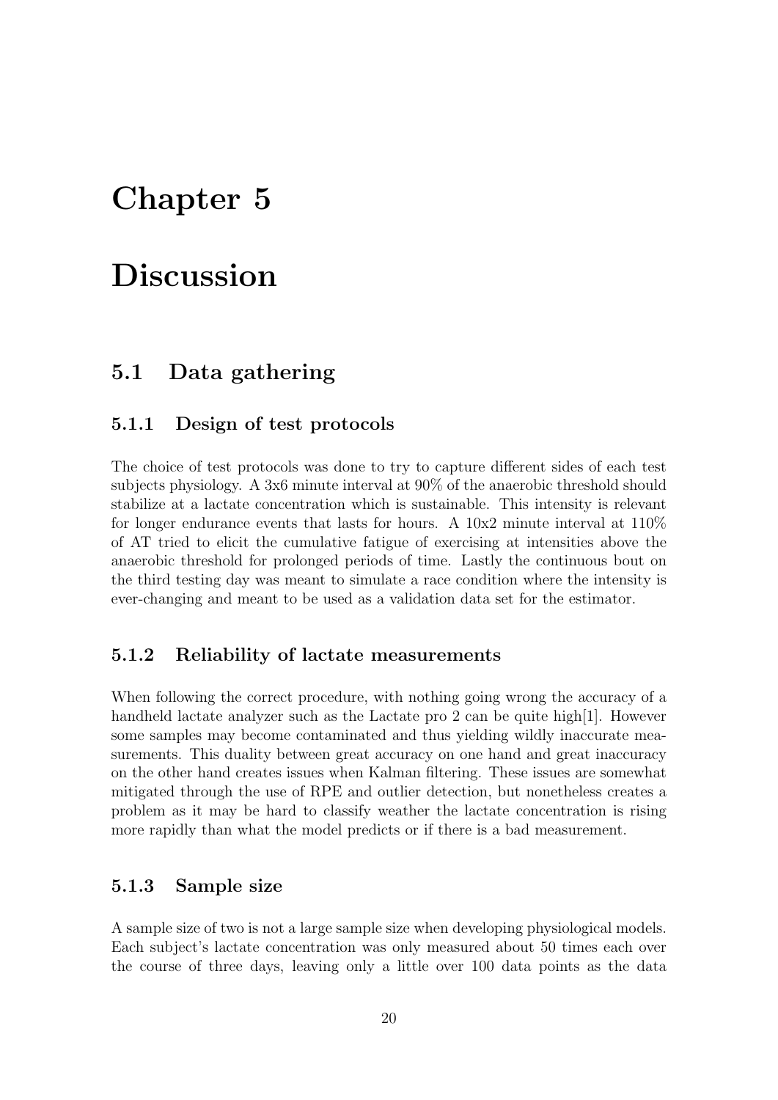## Chapter 5

## Discussion

### 5.1 Data gathering

#### 5.1.1 Design of test protocols

The choice of test protocols was done to try to capture different sides of each test subjects physiology. A 3x6 minute interval at 90% of the anaerobic threshold should stabilize at a lactate concentration which is sustainable. This intensity is relevant for longer endurance events that lasts for hours. A  $10x2$  minute interval at  $110\%$ of AT tried to elicit the cumulative fatigue of exercising at intensities above the anaerobic threshold for prolonged periods of time. Lastly the continuous bout on the third testing day was meant to simulate a race condition where the intensity is ever-changing and meant to be used as a validation data set for the estimator.

#### 5.1.2 Reliability of lactate measurements

When following the correct procedure, with nothing going wrong the accuracy of a handheld lactate analyzer such as the Lactate pro 2 can be quite high[1]. However some samples may become contaminated and thus yielding wildly inaccurate measurements. This duality between great accuracy on one hand and great inaccuracy on the other hand creates issues when Kalman filtering. These issues are somewhat mitigated through the use of RPE and outlier detection, but nonetheless creates a problem as it may be hard to classify weather the lactate concentration is rising more rapidly than what the model predicts or if there is a bad measurement.

#### 5.1.3 Sample size

A sample size of two is not a large sample size when developing physiological models. Each subject's lactate concentration was only measured about 50 times each over the course of three days, leaving only a little over 100 data points as the data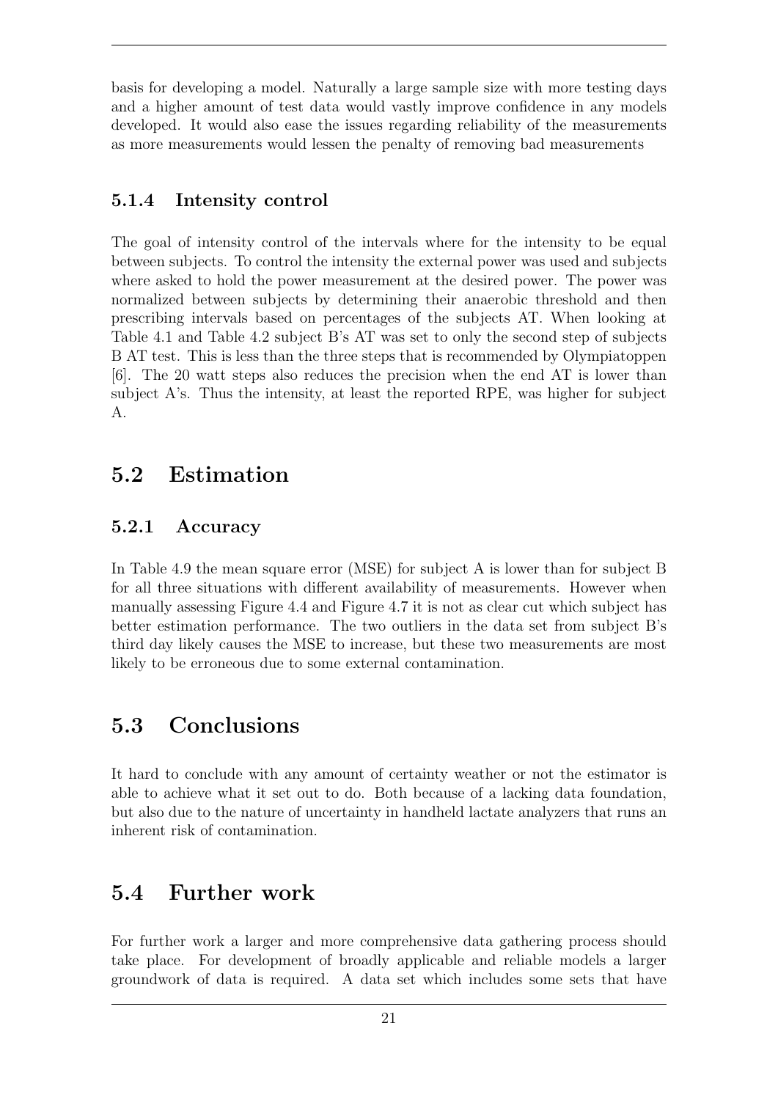basis for developing a model. Naturally a large sample size with more testing days and a higher amount of test data would vastly improve confidence in any models developed. It would also ease the issues regarding reliability of the measurements as more measurements would lessen the penalty of removing bad measurements

### 5.1.4 Intensity control

The goal of intensity control of the intervals where for the intensity to be equal between subjects. To control the intensity the external power was used and subjects where asked to hold the power measurement at the desired power. The power was normalized between subjects by determining their anaerobic threshold and then prescribing intervals based on percentages of the subjects AT. When looking at Table 4.1 and Table 4.2 subject B's AT was set to only the second step of subjects B AT test. This is less than the three steps that is recommended by Olympiatoppen [6]. The 20 watt steps also reduces the precision when the end AT is lower than subject A's. Thus the intensity, at least the reported RPE, was higher for subject A.

### 5.2 Estimation

### 5.2.1 Accuracy

In Table 4.9 the mean square error (MSE) for subject A is lower than for subject B for all three situations with different availability of measurements. However when manually assessing Figure 4.4 and Figure 4.7 it is not as clear cut which subject has better estimation performance. The two outliers in the data set from subject B's third day likely causes the MSE to increase, but these two measurements are most likely to be erroneous due to some external contamination.

### 5.3 Conclusions

It hard to conclude with any amount of certainty weather or not the estimator is able to achieve what it set out to do. Both because of a lacking data foundation, but also due to the nature of uncertainty in handheld lactate analyzers that runs an inherent risk of contamination.

### 5.4 Further work

For further work a larger and more comprehensive data gathering process should take place. For development of broadly applicable and reliable models a larger groundwork of data is required. A data set which includes some sets that have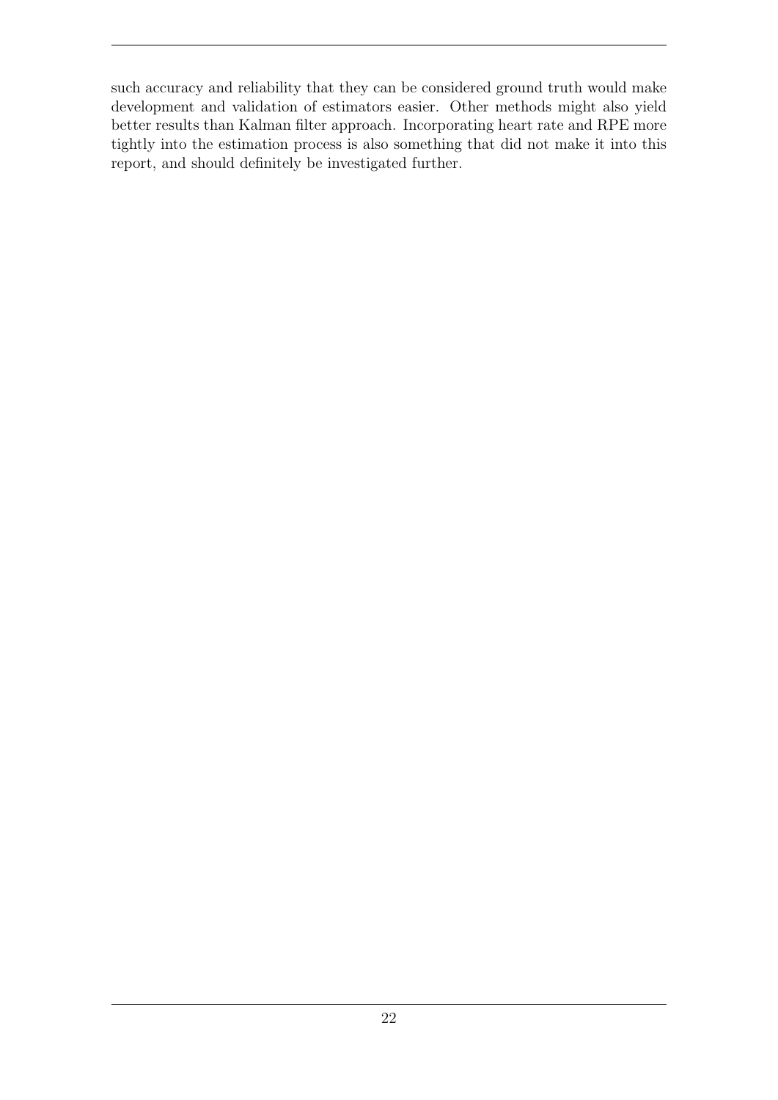such accuracy and reliability that they can be considered ground truth would make development and validation of estimators easier. Other methods might also yield better results than Kalman filter approach. Incorporating heart rate and RPE more tightly into the estimation process is also something that did not make it into this report, and should definitely be investigated further.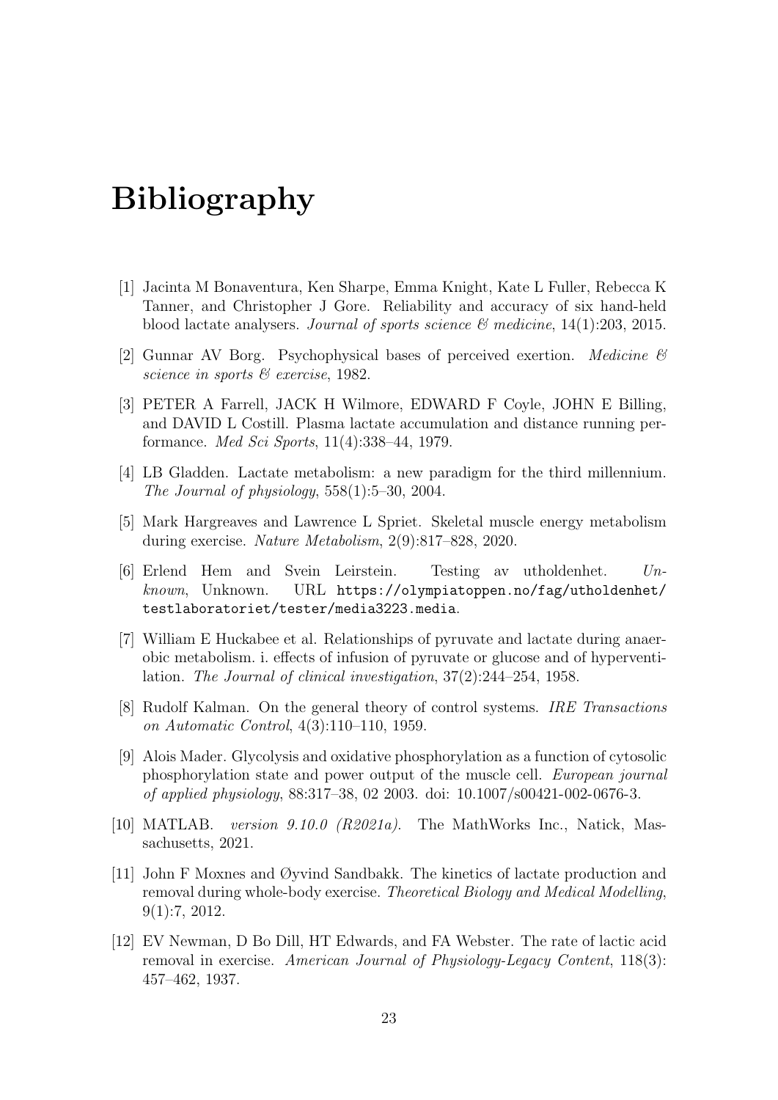## Bibliography

- [1] Jacinta M Bonaventura, Ken Sharpe, Emma Knight, Kate L Fuller, Rebecca K Tanner, and Christopher J Gore. Reliability and accuracy of six hand-held blood lactate analysers. Journal of sports science  $\mathcal{B}$  medicine, 14(1):203, 2015.
- [2] Gunnar AV Borg. Psychophysical bases of perceived exertion. *Medicine*  $\mathscr B$ science in sports  $\mathcal B$  exercise, 1982.
- [3] PETER A Farrell, JACK H Wilmore, EDWARD F Coyle, JOHN E Billing, and DAVID L Costill. Plasma lactate accumulation and distance running performance. Med Sci Sports, 11(4):338–44, 1979.
- [4] LB Gladden. Lactate metabolism: a new paradigm for the third millennium. The Journal of physiology,  $558(1):5-30$ ,  $2004$ .
- [5] Mark Hargreaves and Lawrence L Spriet. Skeletal muscle energy metabolism during exercise. Nature Metabolism, 2(9):817–828, 2020.
- [6] Erlend Hem and Svein Leirstein. Testing av utholdenhet.  $Un$ known, Unknown. URL [https://olympiatoppen.no/fag/utholdenhet/](https://olympiatoppen.no/fag/utholdenhet/testlaboratoriet/tester/media3223.media) [testlaboratoriet/tester/media3223.media](https://olympiatoppen.no/fag/utholdenhet/testlaboratoriet/tester/media3223.media).
- [7] William E Huckabee et al. Relationships of pyruvate and lactate during anaerobic metabolism. i. effects of infusion of pyruvate or glucose and of hyperventilation. The Journal of clinical investigation, 37(2):244–254, 1958.
- [8] Rudolf Kalman. On the general theory of control systems. IRE Transactions on Automatic Control, 4(3):110–110, 1959.
- [9] Alois Mader. Glycolysis and oxidative phosphorylation as a function of cytosolic phosphorylation state and power output of the muscle cell. European journal of applied physiology, 88:317–38, 02 2003. doi: 10.1007/s00421-002-0676-3.
- [10] MATLAB. version 9.10.0 (R2021a). The MathWorks Inc., Natick, Massachusetts, 2021.
- [11] John F Moxnes and Øyvind Sandbakk. The kinetics of lactate production and removal during whole-body exercise. Theoretical Biology and Medical Modelling, 9(1):7, 2012.
- [12] EV Newman, D Bo Dill, HT Edwards, and FA Webster. The rate of lactic acid removal in exercise. American Journal of Physiology-Legacy Content, 118(3): 457–462, 1937.